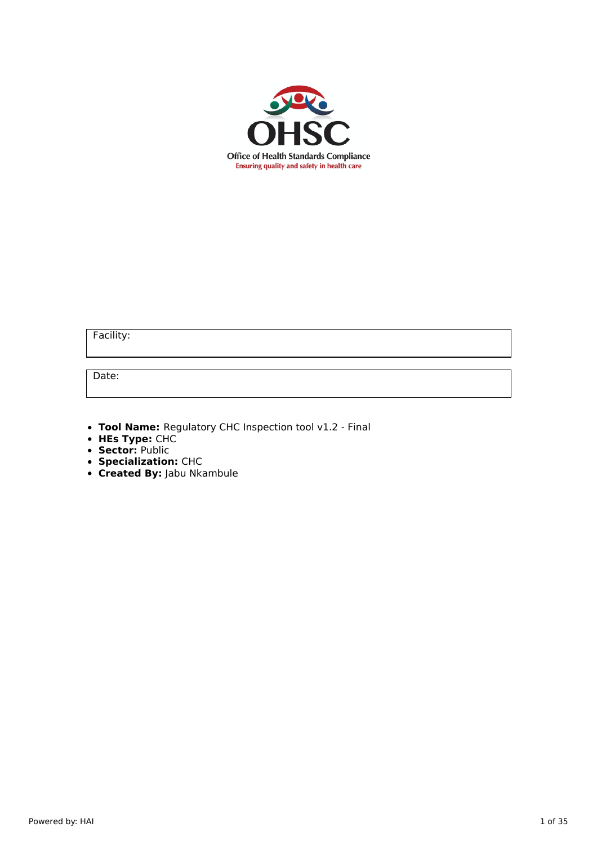

Facility:

Date:

- **Tool Name:** Regulatory CHC Inspection tool v1.2 Final
- **HEs Type:** CHC
- **Sector:** Public
- **Specialization:** CHC
- **Created By:** Jabu Nkambule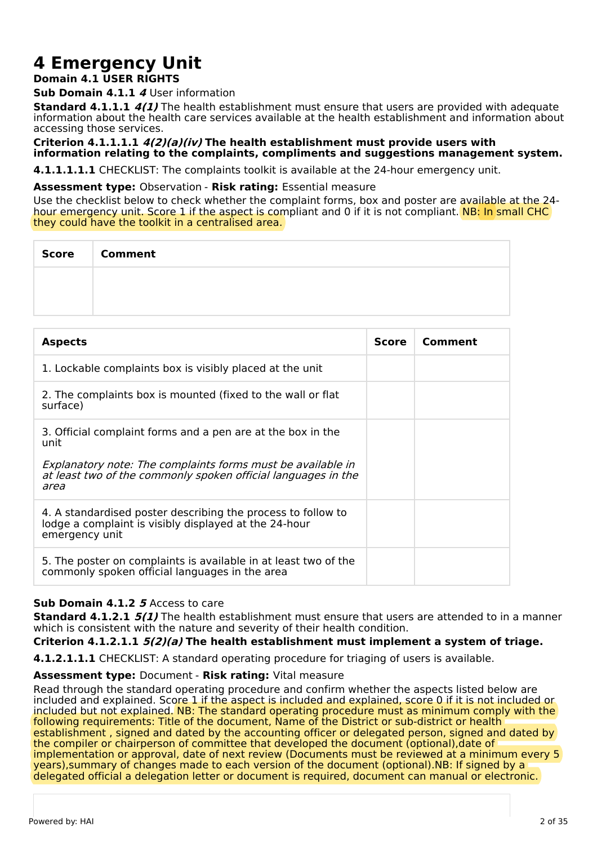# **4 Emergency Unit**

# **Domain 4.1 USER RIGHTS**

**Sub Domain 4.1.1 4** User information

**Standard 4.1.1.1 4(1)** The health establishment must ensure that users are provided with adequate information about the health care services available at the health establishment and information about accessing those services.

#### **Criterion 4.1.1.1.1 4(2)(a)(iv) The health establishment must provide users with information relating to the complaints, compliments and suggestions management system.**

**4.1.1.1.1.1** CHECKLIST: The complaints toolkit is available at the 24-hour emergency unit.

#### **Assessment type:** Observation - **Risk rating:** Essential measure

Use the checklist below to check whether the complaint forms, box and poster are available at the 24hour emergency unit. Score 1 if the aspect is compliant and 0 if it is not compliant. NB: In small CHC they could have the toolkit in a centralised area.

| <b>Score</b><br>- 1 | <b>Comment</b> |
|---------------------|----------------|
|                     |                |
|                     |                |

| <b>Aspects</b>                                                                                                                          |  | Comment |
|-----------------------------------------------------------------------------------------------------------------------------------------|--|---------|
| 1. Lockable complaints box is visibly placed at the unit                                                                                |  |         |
| 2. The complaints box is mounted (fixed to the wall or flat<br>surface)                                                                 |  |         |
| 3. Official complaint forms and a pen are at the box in the<br>unit                                                                     |  |         |
| Explanatory note: The complaints forms must be available in<br>at least two of the commonly spoken official languages in the<br>area    |  |         |
| 4. A standardised poster describing the process to follow to<br>lodge a complaint is visibly displayed at the 24-hour<br>emergency unit |  |         |
| 5. The poster on complaints is available in at least two of the<br>commonly spoken official languages in the area                       |  |         |

#### **Sub Domain 4.1.2 5** Access to care

**Standard 4.1.2.1 5(1)** The health establishment must ensure that users are attended to in a manner which is consistent with the nature and severity of their health condition.

**Criterion 4.1.2.1.1 5(2)(a) The health establishment must implement a system of triage.**

**4.1.2.1.1.1** CHECKLIST: A standard operating procedure for triaging of users is available.

#### **Assessment type:** Document - **Risk rating:** Vital measure

Read through the standard operating procedure and confirm whether the aspects listed below are included and explained. Score 1 if the aspect is included and explained, score 0 if it is not included or included but not explained. NB: The standard operating procedure must as minimum comply with the following requirements: Title of the document, Name of the District or sub-district or health establishment , signed and dated by the accounting officer or delegated person, signed and dated by the compiler or chairperson of committee that developed the document (optional),date of implementation or approval, date of next review (Documents must be reviewed at a minimum every 5 years),summary of changes made to each version of the document (optional).NB: If signed by a delegated official a delegation letter or document is required, document can manual or electronic.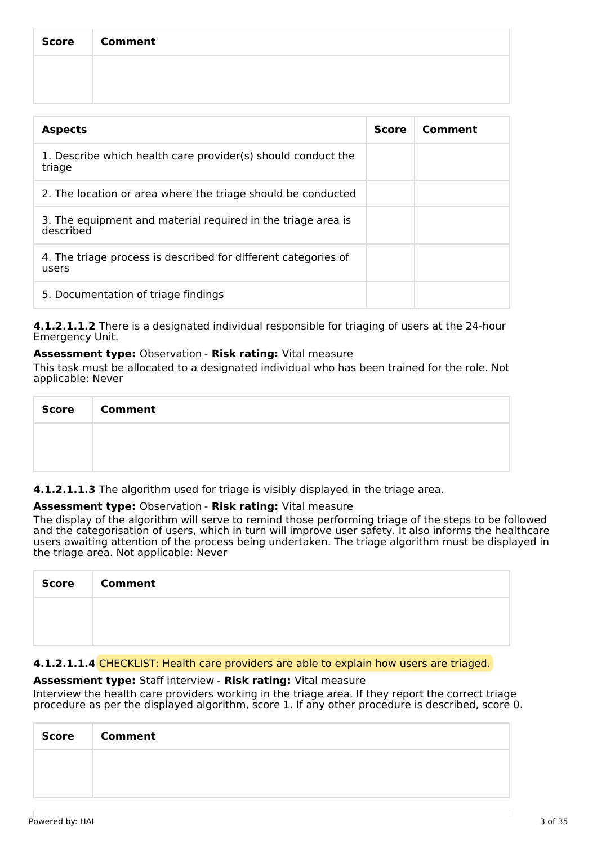| <b>Aspects</b>                                                            | <b>Score</b> | Comment |
|---------------------------------------------------------------------------|--------------|---------|
| 1. Describe which health care provider(s) should conduct the<br>triage    |              |         |
| 2. The location or area where the triage should be conducted              |              |         |
| 3. The equipment and material required in the triage area is<br>described |              |         |
| 4. The triage process is described for different categories of<br>users   |              |         |
| 5. Documentation of triage findings                                       |              |         |

**4.1.2.1.1.2** There is a designated individual responsible for triaging of users at the 24-hour Emergency Unit.

### **Assessment type:** Observation - **Risk rating:** Vital measure

This task must be allocated to a designated individual who has been trained for the role. Not applicable: Never

| <b>Score</b> | Comment |
|--------------|---------|
|              |         |
|              |         |

**4.1.2.1.1.3** The algorithm used for triage is visibly displayed in the triage area.

#### **Assessment type:** Observation - **Risk rating:** Vital measure

The display of the algorithm will serve to remind those performing triage of the steps to be followed and the categorisation of users, which in turn will improve user safety. It also informs the healthcare users awaiting attention of the process being undertaken. The triage algorithm must be displayed in the triage area. Not applicable: Never

| Score   Comment |
|-----------------|
|                 |
|                 |

#### **4.1.2.1.1.4** CHECKLIST: Health care providers are able to explain how users are triaged.

#### **Assessment type:** Staff interview - **Risk rating:** Vital measure

Interview the health care providers working in the triage area. If they report the correct triage procedure as per the displayed algorithm, score 1. If any other procedure is described, score 0.

| Score | <b>Comment</b> |
|-------|----------------|
|       |                |
|       |                |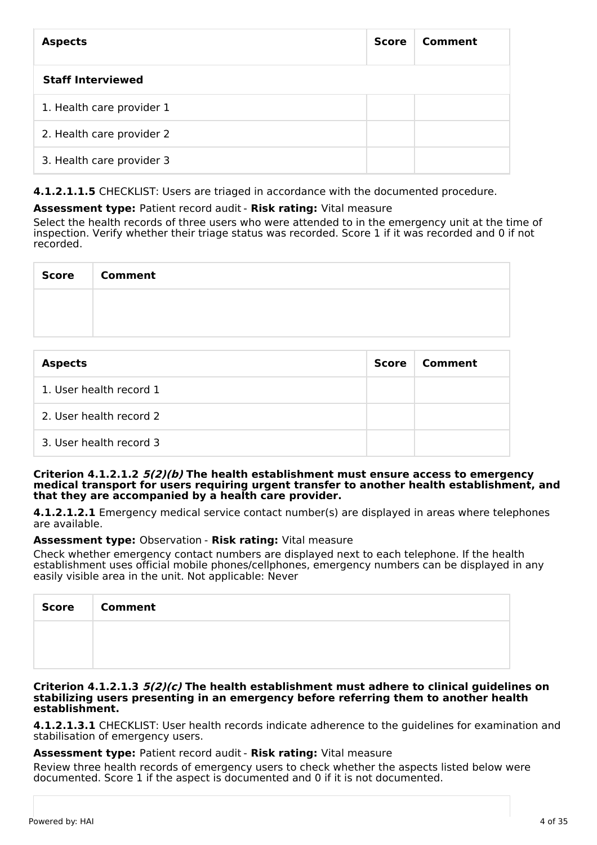| <b>Aspects</b>            | <b>Score</b> | Comment |
|---------------------------|--------------|---------|
| <b>Staff Interviewed</b>  |              |         |
| 1. Health care provider 1 |              |         |
| 2. Health care provider 2 |              |         |
| 3. Health care provider 3 |              |         |

**4.1.2.1.1.5** CHECKLIST: Users are triaged in accordance with the documented procedure.

# **Assessment type:** Patient record audit - **Risk rating:** Vital measure

Select the health records of three users who were attended to in the emergency unit at the time of inspection. Verify whether their triage status was recorded. Score 1 if it was recorded and 0 if not recorded.

| <b>Score</b> | <b>Comment</b> |
|--------------|----------------|
|              |                |
|              |                |

| <b>Aspects</b>          | Score | Comment |
|-------------------------|-------|---------|
| 1. User health record 1 |       |         |
| 2. User health record 2 |       |         |
| 3. User health record 3 |       |         |

#### **Criterion 4.1.2.1.2 5(2)(b) The health establishment must ensure access to emergency medical transport for users requiring urgent transfer to another health establishment, and that they are accompanied by a health care provider.**

**4.1.2.1.2.1** Emergency medical service contact number(s) are displayed in areas where telephones are available.

# **Assessment type:** Observation - **Risk rating:** Vital measure

Check whether emergency contact numbers are displayed next to each telephone. If the health establishment uses official mobile phones/cellphones, emergency numbers can be displayed in any easily visible area in the unit. Not applicable: Never

| <b>Score</b> | <b>Comment</b> |
|--------------|----------------|
|              |                |
|              |                |

#### **Criterion 4.1.2.1.3 5(2)(c) The health establishment must adhere to clinical guidelines on stabilizing users presenting in an emergency before referring them to another health establishment.**

**4.1.2.1.3.1** CHECKLIST: User health records indicate adherence to the guidelines for examination and stabilisation of emergency users.

# **Assessment type:** Patient record audit - **Risk rating:** Vital measure

Review three health records of emergency users to check whether the aspects listed below were documented. Score 1 if the aspect is documented and 0 if it is not documented.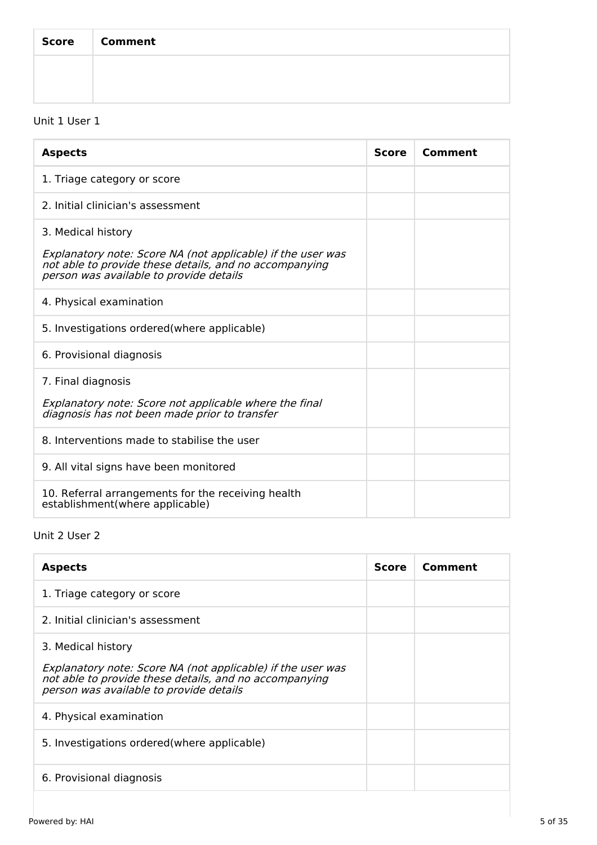| Score   Comment |
|-----------------|
|                 |
|                 |

# Unit 1 User 1

| <b>Aspects</b>                                                                                                                                                                         | <b>Score</b> | Comment |
|----------------------------------------------------------------------------------------------------------------------------------------------------------------------------------------|--------------|---------|
| 1. Triage category or score                                                                                                                                                            |              |         |
| 2. Initial clinician's assessment                                                                                                                                                      |              |         |
| 3. Medical history<br>Explanatory note: Score NA (not applicable) if the user was<br>not able to provide these details, and no accompanying<br>person was available to provide details |              |         |
| 4. Physical examination                                                                                                                                                                |              |         |
| 5. Investigations ordered (where applicable)                                                                                                                                           |              |         |
| 6. Provisional diagnosis                                                                                                                                                               |              |         |
| 7. Final diagnosis<br>Explanatory note: Score not applicable where the final<br>diagnosis has not been made prior to transfer                                                          |              |         |
| 8. Interventions made to stabilise the user                                                                                                                                            |              |         |
| 9. All vital signs have been monitored                                                                                                                                                 |              |         |
| 10. Referral arrangements for the receiving health<br>establishment(where applicable)                                                                                                  |              |         |

# Unit 2 User 2

| <b>Aspects</b>                                                                                                                                                   | <b>Score</b> | Comment |
|------------------------------------------------------------------------------------------------------------------------------------------------------------------|--------------|---------|
| 1. Triage category or score                                                                                                                                      |              |         |
| 2. Initial clinician's assessment                                                                                                                                |              |         |
| 3. Medical history                                                                                                                                               |              |         |
| Explanatory note: Score NA (not applicable) if the user was<br>not able to provide these details, and no accompanying<br>person was available to provide details |              |         |
| 4. Physical examination                                                                                                                                          |              |         |
| 5. Investigations ordered (where applicable)                                                                                                                     |              |         |
| 6. Provisional diagnosis                                                                                                                                         |              |         |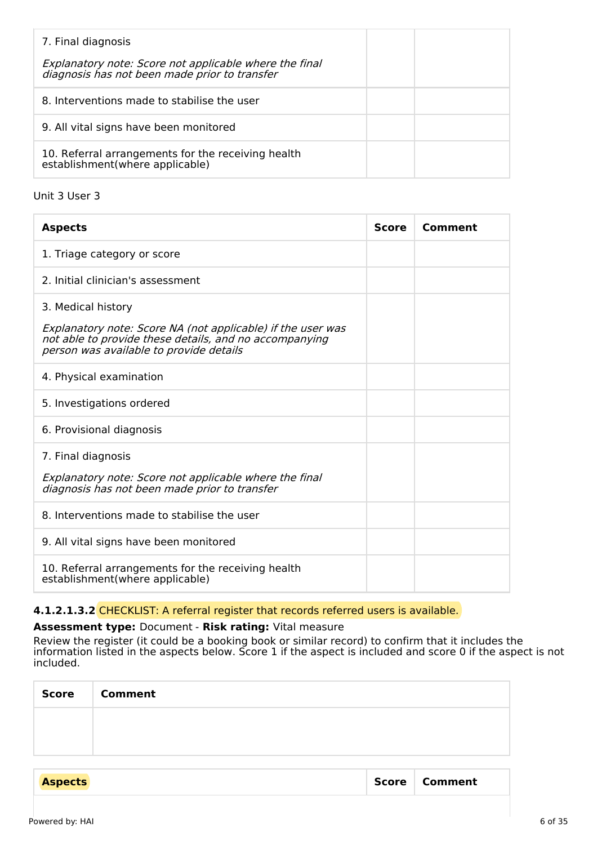| 7. Final diagnosis                                                                                      |  |
|---------------------------------------------------------------------------------------------------------|--|
| Explanatory note: Score not applicable where the final<br>diagnosis has not been made prior to transfer |  |
| 8. Interventions made to stabilise the user                                                             |  |
| 9. All vital signs have been monitored                                                                  |  |
| 10. Referral arrangements for the receiving health<br>establishment(where applicable)                   |  |

# Unit 3 User 3

| <b>Aspects</b>                                                                                                                                                                         | <b>Score</b> | Comment |
|----------------------------------------------------------------------------------------------------------------------------------------------------------------------------------------|--------------|---------|
| 1. Triage category or score                                                                                                                                                            |              |         |
| 2. Initial clinician's assessment                                                                                                                                                      |              |         |
| 3. Medical history<br>Explanatory note: Score NA (not applicable) if the user was<br>not able to provide these details, and no accompanying<br>person was available to provide details |              |         |
| 4. Physical examination                                                                                                                                                                |              |         |
| 5. Investigations ordered                                                                                                                                                              |              |         |
| 6. Provisional diagnosis                                                                                                                                                               |              |         |
| 7. Final diagnosis                                                                                                                                                                     |              |         |
| Explanatory note: Score not applicable where the final<br>diagnosis has not been made prior to transfer                                                                                |              |         |
| 8. Interventions made to stabilise the user                                                                                                                                            |              |         |
| 9. All vital signs have been monitored                                                                                                                                                 |              |         |
| 10. Referral arrangements for the receiving health<br>establishment(where applicable)                                                                                                  |              |         |

# **4.1.2.1.3.2** CHECKLIST: A referral register that records referred users is available.

# **Assessment type:** Document - **Risk rating:** Vital measure

Review the register (it could be a booking book or similar record) to confirm that it includes the information listed in the aspects below. Score 1 if the aspect is included and score 0 if the aspect is not included.

| Score | <b>Comment</b> |  |
|-------|----------------|--|
|       |                |  |
|       |                |  |
|       |                |  |

| <b>Aspects</b> | <b>Score</b> | Comment |
|----------------|--------------|---------|
|                |              |         |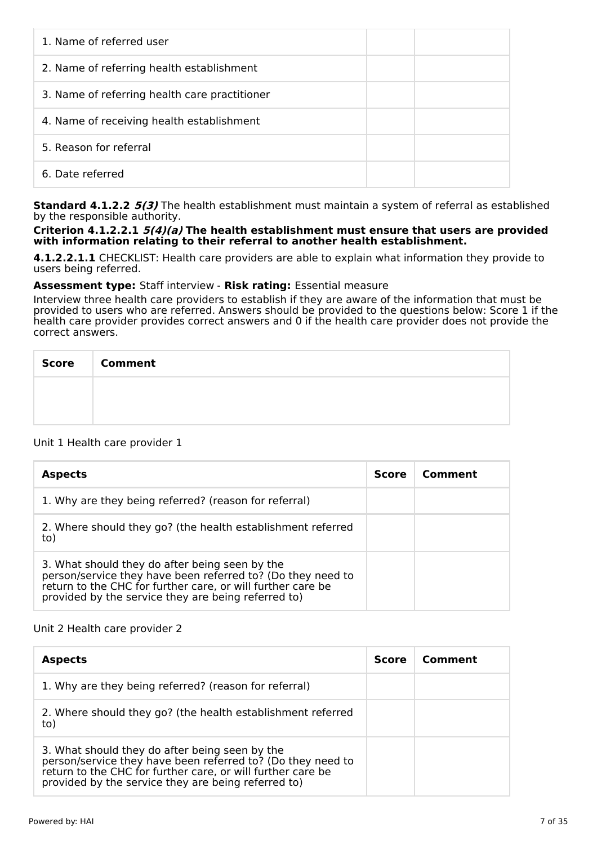| 1. Name of referred user                      |  |
|-----------------------------------------------|--|
| 2. Name of referring health establishment     |  |
| 3. Name of referring health care practitioner |  |
| 4. Name of receiving health establishment     |  |
| 5. Reason for referral                        |  |
| 6. Date referred                              |  |

**Standard 4.1.2.2 5(3)** The health establishment must maintain a system of referral as established by the responsible authority.

**Criterion 4.1.2.2.1 5(4)(a) The health establishment must ensure that users are provided with information relating to their referral to another health establishment.**

**4.1.2.2.1.1** CHECKLIST: Health care providers are able to explain what information they provide to users being referred.

#### **Assessment type:** Staff interview - **Risk rating:** Essential measure

Interview three health care providers to establish if they are aware of the information that must be provided to users who are referred. Answers should be provided to the questions below: Score 1 if the health care provider provides correct answers and 0 if the health care provider does not provide the correct answers.

| <b>Score</b> | <b>Comment</b> |
|--------------|----------------|
|              |                |
|              |                |

# Unit 1 Health care provider 1

| <b>Aspects</b>                                                                                                                                                                                                                      | <b>Score</b> | Comment |
|-------------------------------------------------------------------------------------------------------------------------------------------------------------------------------------------------------------------------------------|--------------|---------|
| 1. Why are they being referred? (reason for referral)                                                                                                                                                                               |              |         |
| 2. Where should they go? (the health establishment referred<br>to)                                                                                                                                                                  |              |         |
| 3. What should they do after being seen by the<br>person/service they have been referred to? (Do they need to<br>return to the CHC for further care, or will further care be<br>provided by the service they are being referred to) |              |         |

#### Unit 2 Health care provider 2

| <b>Aspects</b>                                                                                                                                                                                                                      | <b>Score</b> | Comment |
|-------------------------------------------------------------------------------------------------------------------------------------------------------------------------------------------------------------------------------------|--------------|---------|
| 1. Why are they being referred? (reason for referral)                                                                                                                                                                               |              |         |
| 2. Where should they go? (the health establishment referred<br>to)                                                                                                                                                                  |              |         |
| 3. What should they do after being seen by the<br>person/service they have been referred to? (Do they need to<br>return to the CHC for further care, or will further care be<br>provided by the service they are being referred to) |              |         |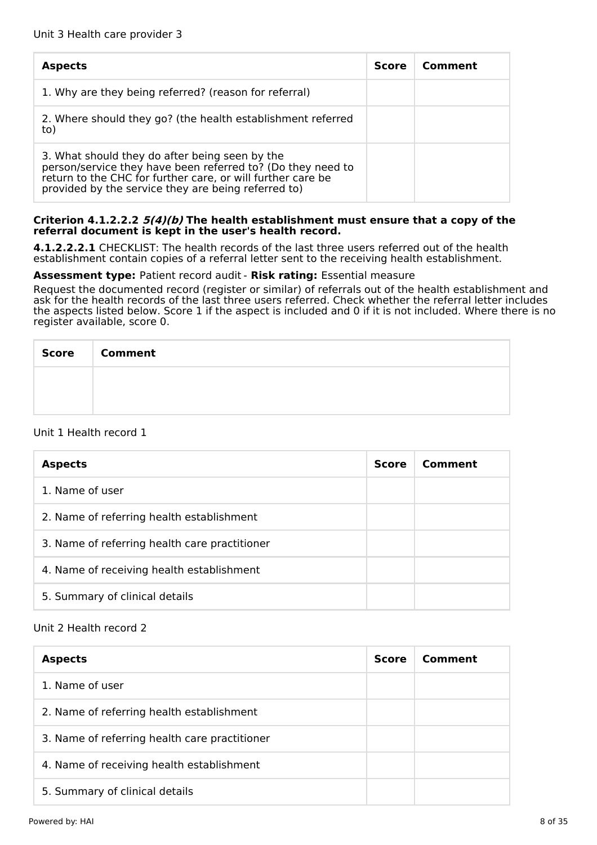| <b>Aspects</b>                                                                                                                                                                                                                      | Score | Comment |
|-------------------------------------------------------------------------------------------------------------------------------------------------------------------------------------------------------------------------------------|-------|---------|
| 1. Why are they being referred? (reason for referral)                                                                                                                                                                               |       |         |
| 2. Where should they go? (the health establishment referred<br>to)                                                                                                                                                                  |       |         |
| 3. What should they do after being seen by the<br>person/service they have been referred to? (Do they need to<br>return to the CHC for further care, or will further care be<br>provided by the service they are being referred to) |       |         |

#### **Criterion 4.1.2.2.2 5(4)(b) The health establishment must ensure that a copy of the referral document is kept in the user's health record.**

**4.1.2.2.2.1** CHECKLIST: The health records of the last three users referred out of the health establishment contain copies of a referral letter sent to the receiving health establishment.

### **Assessment type:** Patient record audit - **Risk rating:** Essential measure

Request the documented record (register or similar) of referrals out of the health establishment and ask for the health records of the last three users referred. Check whether the referral letter includes the aspects listed below. Score 1 if the aspect is included and 0 if it is not included. Where there is no register available, score 0.

| <b>Score</b> | <b>Comment</b> |
|--------------|----------------|
|              |                |
|              |                |

# Unit 1 Health record 1

| <b>Aspects</b>                                | <b>Score</b> | Comment |
|-----------------------------------------------|--------------|---------|
| 1. Name of user                               |              |         |
| 2. Name of referring health establishment     |              |         |
| 3. Name of referring health care practitioner |              |         |
| 4. Name of receiving health establishment     |              |         |
| 5. Summary of clinical details                |              |         |

# Unit 2 Health record 2

| <b>Aspects</b>                                | <b>Score</b> | Comment |
|-----------------------------------------------|--------------|---------|
| 1. Name of user                               |              |         |
| 2. Name of referring health establishment     |              |         |
| 3. Name of referring health care practitioner |              |         |
| 4. Name of receiving health establishment     |              |         |
| 5. Summary of clinical details                |              |         |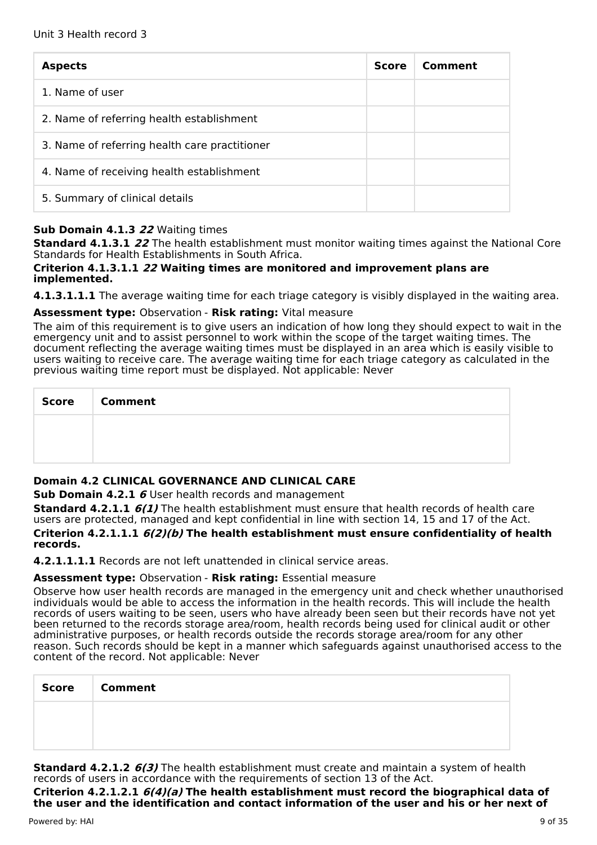| <b>Aspects</b>                                | <b>Score</b> | Comment |
|-----------------------------------------------|--------------|---------|
| 1. Name of user                               |              |         |
| 2. Name of referring health establishment     |              |         |
| 3. Name of referring health care practitioner |              |         |
| 4. Name of receiving health establishment     |              |         |
| 5. Summary of clinical details                |              |         |

# **Sub Domain 4.1.3 22** Waiting times

**Standard 4.1.3.1 22** The health establishment must monitor waiting times against the National Core Standards for Health Establishments in South Africa.

#### **Criterion 4.1.3.1.1 22 Waiting times are monitored and improvement plans are implemented.**

**4.1.3.1.1.1** The average waiting time for each triage category is visibly displayed in the waiting area.

#### **Assessment type:** Observation - **Risk rating:** Vital measure

The aim of this requirement is to give users an indication of how long they should expect to wait in the emergency unit and to assist personnel to work within the scope of the target waiting times. The document reflecting the average waiting times must be displayed in an area which is easily visible to users waiting to receive care. The average waiting time for each triage category as calculated in the previous waiting time report must be displayed. Not applicable: Never

| Score | <b>Comment</b> |
|-------|----------------|
|       |                |
|       |                |

# **Domain 4.2 CLINICAL GOVERNANCE AND CLINICAL CARE**

**Sub Domain 4.2.1 6** User health records and management

**Standard 4.2.1.1 6(1)** The health establishment must ensure that health records of health care users are protected, managed and kept confidential in line with section 14, 15 and 17 of the Act.

#### **Criterion 4.2.1.1.1 6(2)(b) The health establishment must ensure confidentiality of health records.**

**4.2.1.1.1.1** Records are not left unattended in clinical service areas.

#### **Assessment type:** Observation - **Risk rating:** Essential measure

Observe how user health records are managed in the emergency unit and check whether unauthorised individuals would be able to access the information in the health records. This will include the health records of users waiting to be seen, users who have already been seen but their records have not yet been returned to the records storage area/room, health records being used for clinical audit or other administrative purposes, or health records outside the records storage area/room for any other reason. Such records should be kept in a manner which safeguards against unauthorised access to the content of the record. Not applicable: Never

| Score | <b>Comment</b> |
|-------|----------------|
|       |                |
|       |                |

**Standard 4.2.1.2 6(3)** The health establishment must create and maintain a system of health records of users in accordance with the requirements of section 13 of the Act.

**Criterion 4.2.1.2.1 6(4)(a) The health establishment must record the biographical data of the user and the identification and contact information of the user and his or her next of**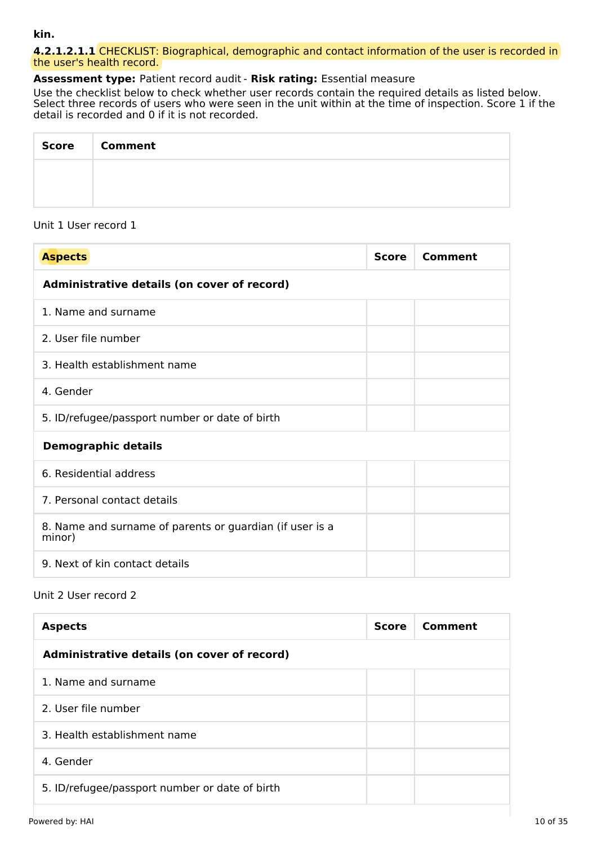#### **kin.**

#### **4.2.1.2.1.1** CHECKLIST: Biographical, demographic and contact information of the user is recorded in the user's health record.

# **Assessment type:** Patient record audit - **Risk rating:** Essential measure

Use the checklist below to check whether user records contain the required details as listed below. Select three records of users who were seen in the unit within at the time of inspection. Score 1 if the detail is recorded and 0 if it is not recorded.

| Score   Comment |
|-----------------|
|                 |
|                 |

### Unit 1 User record 1

| <b>Aspects</b>                                                     | <b>Score</b> | Comment |  |  |
|--------------------------------------------------------------------|--------------|---------|--|--|
| Administrative details (on cover of record)                        |              |         |  |  |
| 1. Name and surname                                                |              |         |  |  |
| 2. User file number                                                |              |         |  |  |
| 3. Health establishment name                                       |              |         |  |  |
| 4. Gender                                                          |              |         |  |  |
| 5. ID/refugee/passport number or date of birth                     |              |         |  |  |
| <b>Demographic details</b>                                         |              |         |  |  |
| 6. Residential address                                             |              |         |  |  |
| 7. Personal contact details                                        |              |         |  |  |
| 8. Name and surname of parents or guardian (if user is a<br>minor) |              |         |  |  |
| 9. Next of kin contact details                                     |              |         |  |  |

#### Unit 2 User record 2

| <b>Aspects</b>                                 | <b>Score</b> | Comment |  |  |  |
|------------------------------------------------|--------------|---------|--|--|--|
| Administrative details (on cover of record)    |              |         |  |  |  |
| 1. Name and surname                            |              |         |  |  |  |
| 2. User file number                            |              |         |  |  |  |
| 3. Health establishment name                   |              |         |  |  |  |
| 4. Gender                                      |              |         |  |  |  |
| 5. ID/refugee/passport number or date of birth |              |         |  |  |  |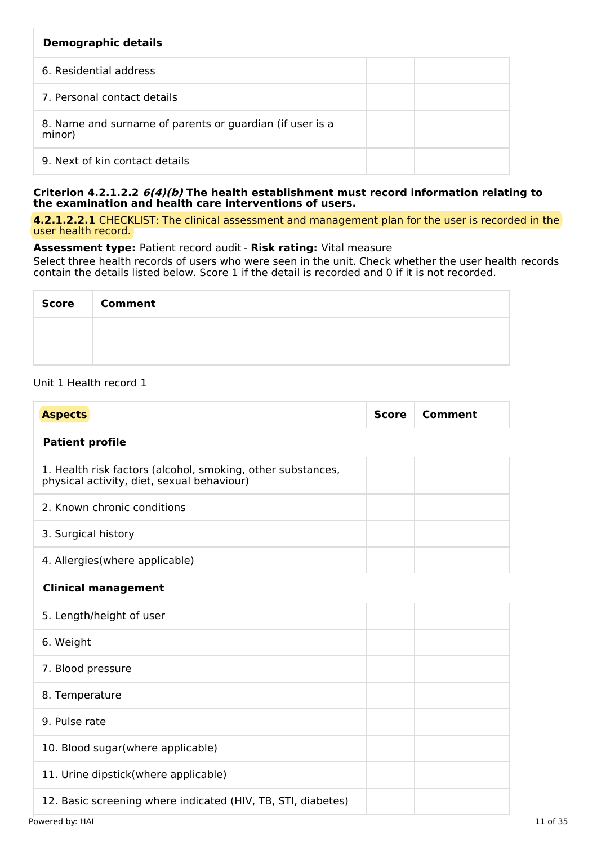| <b>Demographic details</b>                                         |  |
|--------------------------------------------------------------------|--|
| 6. Residential address                                             |  |
| 7. Personal contact details                                        |  |
| 8. Name and surname of parents or guardian (if user is a<br>minor) |  |
| 9. Next of kin contact details                                     |  |

#### **Criterion 4.2.1.2.2 6(4)(b) The health establishment must record information relating to the examination and health care interventions of users.**

**4.2.1.2.2.1** CHECKLIST: The clinical assessment and management plan for the user is recorded in the user health record.

#### **Assessment type:** Patient record audit - **Risk rating:** Vital measure

Select three health records of users who were seen in the unit. Check whether the user health records contain the details listed below. Score 1 if the detail is recorded and 0 if it is not recorded.

| Score   Comment |
|-----------------|
|                 |
|                 |

### Unit 1 Health record 1

| <b>Aspects</b>                                                                                            | <b>Score</b> | <b>Comment</b> |
|-----------------------------------------------------------------------------------------------------------|--------------|----------------|
| <b>Patient profile</b>                                                                                    |              |                |
| 1. Health risk factors (alcohol, smoking, other substances,<br>physical activity, diet, sexual behaviour) |              |                |
| 2. Known chronic conditions                                                                               |              |                |
| 3. Surgical history                                                                                       |              |                |
| 4. Allergies (where applicable)                                                                           |              |                |
| <b>Clinical management</b>                                                                                |              |                |
| 5. Length/height of user                                                                                  |              |                |
| 6. Weight                                                                                                 |              |                |
| 7. Blood pressure                                                                                         |              |                |
| 8. Temperature                                                                                            |              |                |
| 9. Pulse rate                                                                                             |              |                |
| 10. Blood sugar(where applicable)                                                                         |              |                |
| 11. Urine dipstick(where applicable)                                                                      |              |                |
| 12. Basic screening where indicated (HIV, TB, STI, diabetes)                                              |              |                |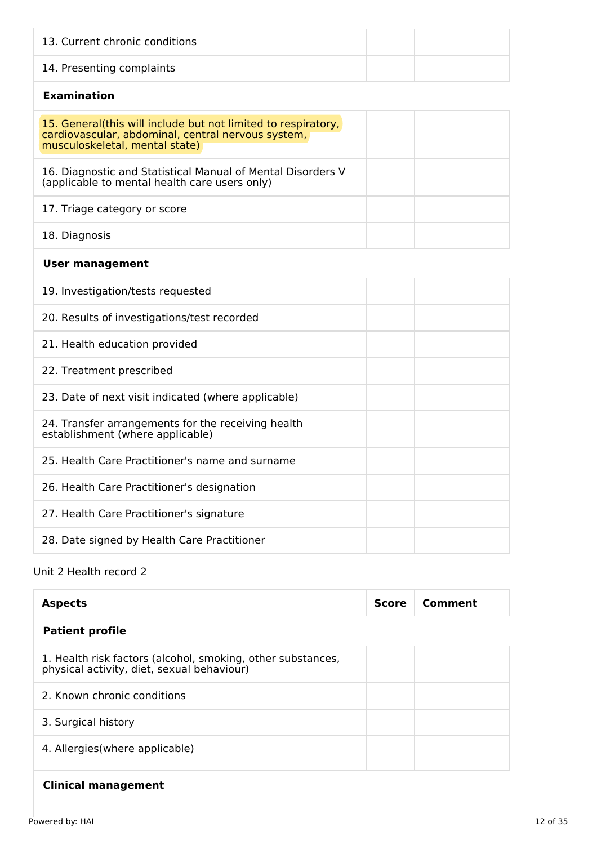| 13. Current chronic conditions                                                                                                                        |
|-------------------------------------------------------------------------------------------------------------------------------------------------------|
| 14. Presenting complaints                                                                                                                             |
| <b>Examination</b>                                                                                                                                    |
| 15. General(this will include but not limited to respiratory,<br>cardiovascular, abdominal, central nervous system,<br>musculoskeletal, mental state) |
| 16. Diagnostic and Statistical Manual of Mental Disorders V<br>(applicable to mental health care users only)                                          |
| 17. Triage category or score                                                                                                                          |
| 18. Diagnosis                                                                                                                                         |
| <b>User management</b>                                                                                                                                |
| 19. Investigation/tests requested                                                                                                                     |
| 20. Results of investigations/test recorded                                                                                                           |
| 21. Health education provided                                                                                                                         |
| 22. Treatment prescribed                                                                                                                              |
| 23. Date of next visit indicated (where applicable)                                                                                                   |
| 24. Transfer arrangements for the receiving health<br>establishment (where applicable)                                                                |
| 25. Health Care Practitioner's name and surname                                                                                                       |
| 26. Health Care Practitioner's designation                                                                                                            |
| 27. Health Care Practitioner's signature                                                                                                              |
| 28. Date signed by Health Care Practitioner                                                                                                           |

# Unit 2 Health record 2

| <b>Aspects</b>                                                                                            | <b>Score</b> | Comment |
|-----------------------------------------------------------------------------------------------------------|--------------|---------|
| <b>Patient profile</b>                                                                                    |              |         |
| 1. Health risk factors (alcohol, smoking, other substances,<br>physical activity, diet, sexual behaviour) |              |         |
| 2. Known chronic conditions                                                                               |              |         |
| 3. Surgical history                                                                                       |              |         |
| 4. Allergies (where applicable)                                                                           |              |         |

# **Clinical management**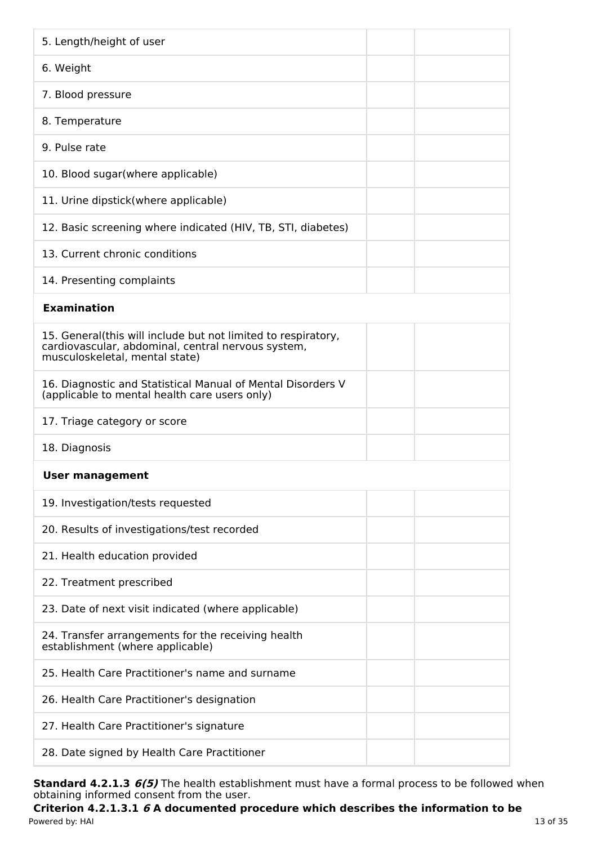| 5. Length/height of user                                                                                                                              |  |
|-------------------------------------------------------------------------------------------------------------------------------------------------------|--|
| 6. Weight                                                                                                                                             |  |
| 7. Blood pressure                                                                                                                                     |  |
| 8. Temperature                                                                                                                                        |  |
| 9. Pulse rate                                                                                                                                         |  |
| 10. Blood sugar(where applicable)                                                                                                                     |  |
| 11. Urine dipstick(where applicable)                                                                                                                  |  |
| 12. Basic screening where indicated (HIV, TB, STI, diabetes)                                                                                          |  |
| 13. Current chronic conditions                                                                                                                        |  |
| 14. Presenting complaints                                                                                                                             |  |
| <b>Examination</b>                                                                                                                                    |  |
| 15. General(this will include but not limited to respiratory,<br>cardiovascular, abdominal, central nervous system,<br>musculoskeletal, mental state) |  |
| 16. Diagnostic and Statistical Manual of Mental Disorders V<br>(applicable to mental health care users only)                                          |  |
| 17. Triage category or score                                                                                                                          |  |
| 18. Diagnosis                                                                                                                                         |  |
| <b>User management</b>                                                                                                                                |  |
| 19. Investigation/tests requested                                                                                                                     |  |
| 20. Results of investigations/test recorded                                                                                                           |  |
| 21. Health education provided                                                                                                                         |  |
| 22. Treatment prescribed                                                                                                                              |  |
| 23. Date of next visit indicated (where applicable)                                                                                                   |  |
| 24. Transfer arrangements for the receiving health<br>establishment (where applicable)                                                                |  |
| 25. Health Care Practitioner's name and surname                                                                                                       |  |
| 26. Health Care Practitioner's designation                                                                                                            |  |
| 27. Health Care Practitioner's signature                                                                                                              |  |
| 28. Date signed by Health Care Practitioner                                                                                                           |  |

**Standard 4.2.1.3 6(5)** The health establishment must have a formal process to be followed when obtaining informed consent from the user.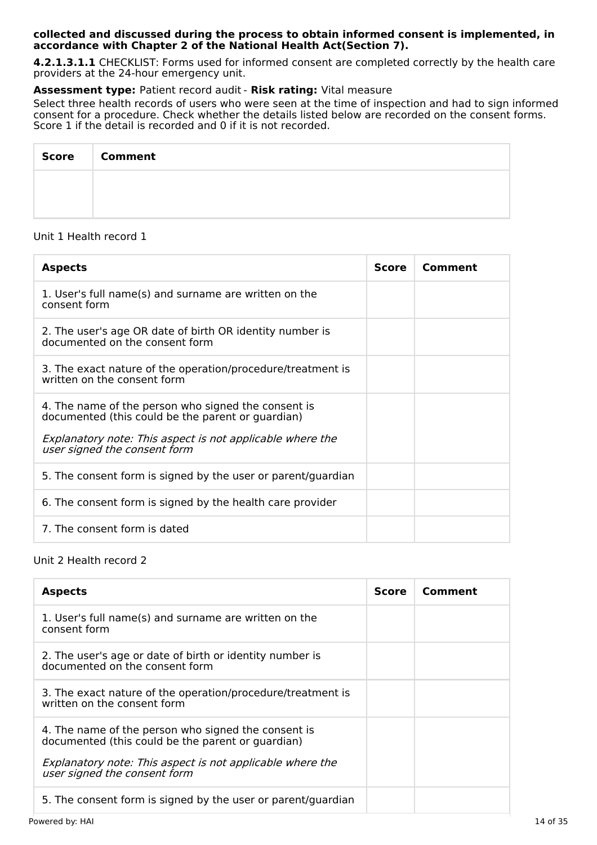#### **collected and discussed during the process to obtain informed consent is implemented, in accordance with Chapter 2 of the National Health Act(Section 7).**

**4.2.1.3.1.1** CHECKLIST: Forms used for informed consent are completed correctly by the health care providers at the 24-hour emergency unit.

### **Assessment type:** Patient record audit - **Risk rating:** Vital measure

Select three health records of users who were seen at the time of inspection and had to sign informed consent for a procedure. Check whether the details listed below are recorded on the consent forms. Score 1 if the detail is recorded and 0 if it is not recorded.

| Score   Comment |
|-----------------|
|                 |
|                 |

# Unit 1 Health record 1

| <b>Aspects</b>                                                                                           | <b>Score</b> | Comment |
|----------------------------------------------------------------------------------------------------------|--------------|---------|
| 1. User's full name(s) and surname are written on the<br>consent form                                    |              |         |
| 2. The user's age OR date of birth OR identity number is<br>documented on the consent form               |              |         |
| 3. The exact nature of the operation/procedure/treatment is<br>written on the consent form               |              |         |
| 4. The name of the person who signed the consent is<br>documented (this could be the parent or guardian) |              |         |
| Explanatory note: This aspect is not applicable where the<br>user signed the consent form                |              |         |
| 5. The consent form is signed by the user or parent/guardian                                             |              |         |
| 6. The consent form is signed by the health care provider                                                |              |         |
| 7. The consent form is dated                                                                             |              |         |

# Unit 2 Health record 2

| <b>Aspects</b>                                                                                                                                                                                        | <b>Score</b> | Comment |
|-------------------------------------------------------------------------------------------------------------------------------------------------------------------------------------------------------|--------------|---------|
| 1. User's full name(s) and surname are written on the<br>consent form                                                                                                                                 |              |         |
| 2. The user's age or date of birth or identity number is<br>documented on the consent form                                                                                                            |              |         |
| 3. The exact nature of the operation/procedure/treatment is<br>written on the consent form                                                                                                            |              |         |
| 4. The name of the person who signed the consent is<br>documented (this could be the parent or quardian)<br>Explanatory note: This aspect is not applicable where the<br>user signed the consent form |              |         |
| 5. The consent form is signed by the user or parent/guardian                                                                                                                                          |              |         |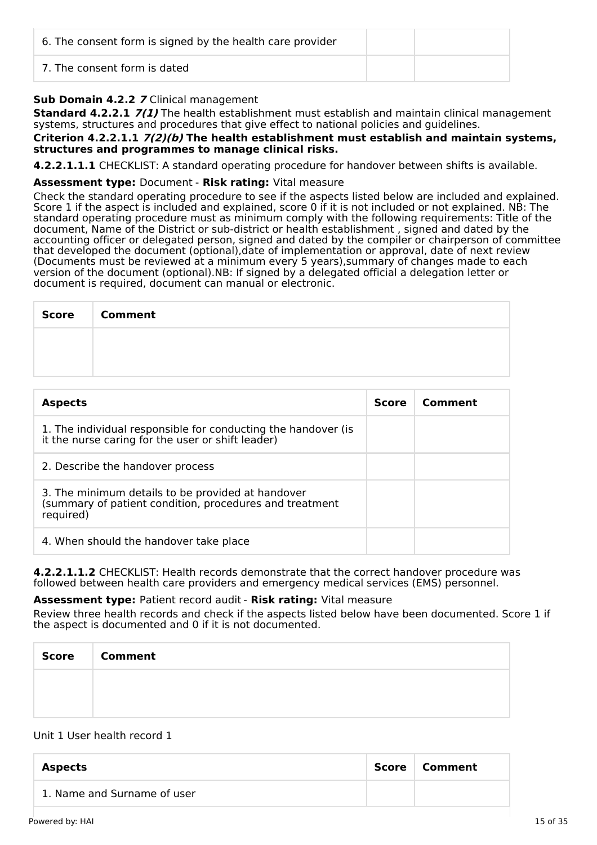| 6. The consent form is signed by the health care provider |  |
|-----------------------------------------------------------|--|
| 7. The consent form is dated                              |  |

# **Sub Domain 4.2.2 7** Clinical management

**Standard 4.2.2.1 7(1)** The health establishment must establish and maintain clinical management systems, structures and procedures that give effect to national policies and guidelines.

#### **Criterion 4.2.2.1.1 7(2)(b) The health establishment must establish and maintain systems, structures and programmes to manage clinical risks.**

**4.2.2.1.1.1** CHECKLIST: A standard operating procedure for handover between shifts is available.

#### **Assessment type:** Document - **Risk rating:** Vital measure

Check the standard operating procedure to see if the aspects listed below are included and explained. Score 1 if the aspect is included and explained, score 0 if it is not included or not explained. NB: The standard operating procedure must as minimum comply with the following requirements: Title of the document, Name of the District or sub-district or health establishment , signed and dated by the accounting officer or delegated person, signed and dated by the compiler or chairperson of committee that developed the document (optional),date of implementation or approval, date of next review (Documents must be reviewed at a minimum every 5 years),summary of changes made to each version of the document (optional).NB: If signed by a delegated official a delegation letter or document is required, document can manual or electronic.

| Score | <b>Comment</b> |
|-------|----------------|
|       |                |
|       |                |

| <b>Aspects</b>                                                                                                            | Score | Comment |
|---------------------------------------------------------------------------------------------------------------------------|-------|---------|
| 1. The individual responsible for conducting the handover (is<br>it the nurse caring for the user or shift leader)        |       |         |
| 2. Describe the handover process                                                                                          |       |         |
| 3. The minimum details to be provided at handover<br>(summary of patient condition, procedures and treatment<br>required) |       |         |
| 4. When should the handover take place                                                                                    |       |         |

**4.2.2.1.1.2** CHECKLIST: Health records demonstrate that the correct handover procedure was followed between health care providers and emergency medical services (EMS) personnel.

#### **Assessment type:** Patient record audit - **Risk rating:** Vital measure

Review three health records and check if the aspects listed below have been documented. Score 1 if the aspect is documented and 0 if it is not documented.

| <b>Score</b> | <b>Comment</b> |
|--------------|----------------|
|              |                |
|              |                |

#### Unit 1 User health record 1

| <b>Aspects</b>              | Score   Comment |
|-----------------------------|-----------------|
| 1. Name and Surname of user |                 |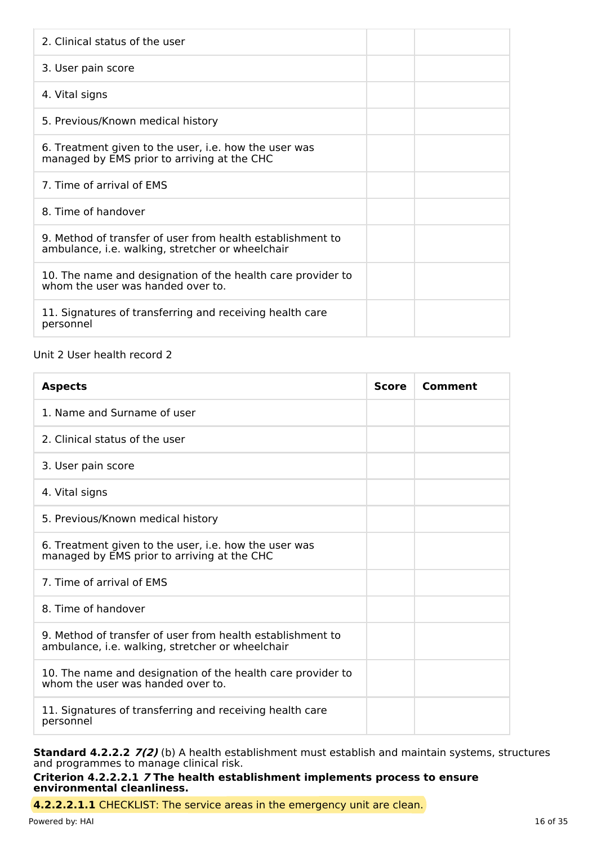| 2. Clinical status of the user                                                                                 |
|----------------------------------------------------------------------------------------------------------------|
| 3. User pain score                                                                                             |
| 4. Vital signs                                                                                                 |
| 5. Previous/Known medical history                                                                              |
| 6. Treatment given to the user, i.e. how the user was<br>managed by EMS prior to arriving at the CHC           |
| 7. Time of arrival of EMS                                                                                      |
| 8. Time of handover                                                                                            |
| 9. Method of transfer of user from health establishment to<br>ambulance, i.e. walking, stretcher or wheelchair |
| 10. The name and designation of the health care provider to<br>whom the user was handed over to.               |
| 11. Signatures of transferring and receiving health care<br>personnel                                          |

### Unit 2 User health record 2

| <b>Aspects</b>                                                                                                 | <b>Score</b> | Comment |
|----------------------------------------------------------------------------------------------------------------|--------------|---------|
| 1. Name and Surname of user                                                                                    |              |         |
| 2. Clinical status of the user                                                                                 |              |         |
| 3. User pain score                                                                                             |              |         |
| 4. Vital signs                                                                                                 |              |         |
| 5. Previous/Known medical history                                                                              |              |         |
| 6. Treatment given to the user, i.e. how the user was<br>managed by EMS prior to arriving at the CHC           |              |         |
| 7. Time of arrival of EMS                                                                                      |              |         |
| 8. Time of handover                                                                                            |              |         |
| 9. Method of transfer of user from health establishment to<br>ambulance, i.e. walking, stretcher or wheelchair |              |         |
| 10. The name and designation of the health care provider to<br>whom the user was handed over to.               |              |         |
| 11. Signatures of transferring and receiving health care<br>personnel                                          |              |         |

**Standard 4.2.2.2 7(2)** (b) A health establishment must establish and maintain systems, structures and programmes to manage clinical risk.

#### **Criterion 4.2.2.2.1 7 The health establishment implements process to ensure environmental cleanliness.**

**4.2.2.2.1.1** CHECKLIST: The service areas in the emergency unit are clean.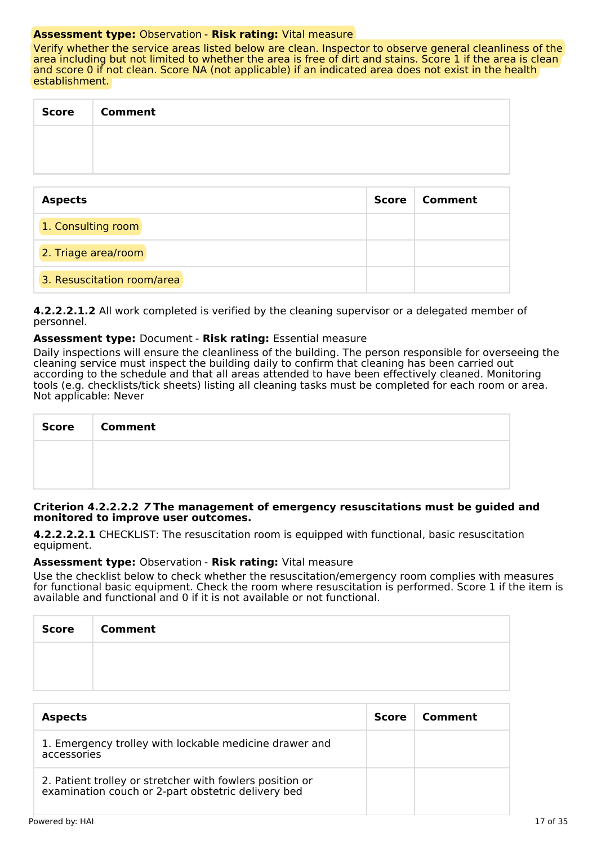#### **Assessment type:** Observation - **Risk rating:** Vital measure

Verify whether the service areas listed below are clean. Inspector to observe general cleanliness of the area including but not limited to whether the area is free of dirt and stains. Score 1 if the area is clean and score 0 if not clean. Score NA (not applicable) if an indicated area does not exist in the health establishment.

| <b>Score</b> | <b>Comment</b> |
|--------------|----------------|
|              |                |
|              |                |

| <b>Aspects</b>             | Score | Comment |
|----------------------------|-------|---------|
| 1. Consulting room         |       |         |
| 2. Triage area/room        |       |         |
| 3. Resuscitation room/area |       |         |

#### **4.2.2.2.1.2** All work completed is verified by the cleaning supervisor or a delegated member of personnel.

#### **Assessment type:** Document - **Risk rating:** Essential measure

Daily inspections will ensure the cleanliness of the building. The person responsible for overseeing the cleaning service must inspect the building daily to confirm that cleaning has been carried out according to the schedule and that all areas attended to have been effectively cleaned. Monitoring tools (e.g. checklists/tick sheets) listing all cleaning tasks must be completed for each room or area. Not applicable: Never

| Score   Comment |
|-----------------|
|                 |
|                 |

#### **Criterion 4.2.2.2.2 7 The management of emergency resuscitations must be guided and monitored to improve user outcomes.**

**4.2.2.2.2.1** CHECKLIST: The resuscitation room is equipped with functional, basic resuscitation equipment.

#### **Assessment type:** Observation - **Risk rating:** Vital measure

Use the checklist below to check whether the resuscitation/emergency room complies with measures for functional basic equipment. Check the room where resuscitation is performed. Score 1 if the item is available and functional and 0 if it is not available or not functional.

| <b>Score</b> | <b>Comment</b> |
|--------------|----------------|
|              |                |
|              |                |

| <b>Aspects</b>                                                                                                 | <b>Score</b> | Comment |
|----------------------------------------------------------------------------------------------------------------|--------------|---------|
| 1. Emergency trolley with lockable medicine drawer and<br>accessories                                          |              |         |
| 2. Patient trolley or stretcher with fowlers position or<br>examination couch or 2-part obstetric delivery bed |              |         |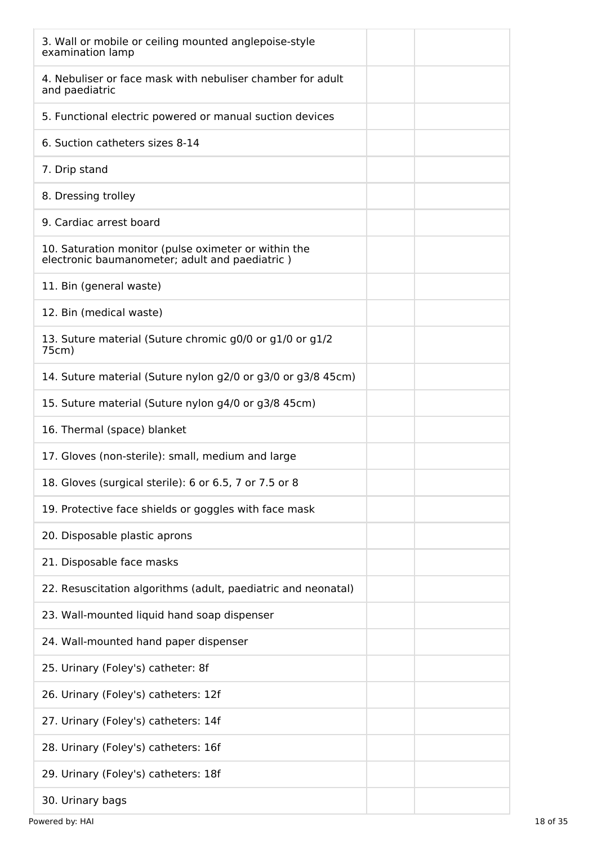| 3. Wall or mobile or ceiling mounted anglepoise-style<br>examination lamp                              |
|--------------------------------------------------------------------------------------------------------|
| 4. Nebuliser or face mask with nebuliser chamber for adult<br>and paediatric                           |
| 5. Functional electric powered or manual suction devices                                               |
| 6. Suction catheters sizes 8-14                                                                        |
| 7. Drip stand                                                                                          |
| 8. Dressing trolley                                                                                    |
| 9. Cardiac arrest board                                                                                |
| 10. Saturation monitor (pulse oximeter or within the<br>electronic baumanometer; adult and paediatric) |
| 11. Bin (general waste)                                                                                |
| 12. Bin (medical waste)                                                                                |
| 13. Suture material (Suture chromic g0/0 or g1/0 or g1/2<br>75cm)                                      |
| 14. Suture material (Suture nylon g2/0 or g3/0 or g3/8 45cm)                                           |
| 15. Suture material (Suture nylon g4/0 or g3/8 45cm)                                                   |
|                                                                                                        |
| 16. Thermal (space) blanket                                                                            |
| 17. Gloves (non-sterile): small, medium and large                                                      |
| 18. Gloves (surgical sterile): 6 or 6.5, 7 or 7.5 or 8                                                 |
| 19. Protective face shields or goggles with face mask                                                  |
| 20. Disposable plastic aprons                                                                          |
| 21. Disposable face masks                                                                              |
| 22. Resuscitation algorithms (adult, paediatric and neonatal)                                          |
| 23. Wall-mounted liquid hand soap dispenser                                                            |
| 24. Wall-mounted hand paper dispenser                                                                  |
| 25. Urinary (Foley's) catheter: 8f                                                                     |
| 26. Urinary (Foley's) catheters: 12f                                                                   |
| 27. Urinary (Foley's) catheters: 14f                                                                   |
| 28. Urinary (Foley's) catheters: 16f                                                                   |
| 29. Urinary (Foley's) catheters: 18f                                                                   |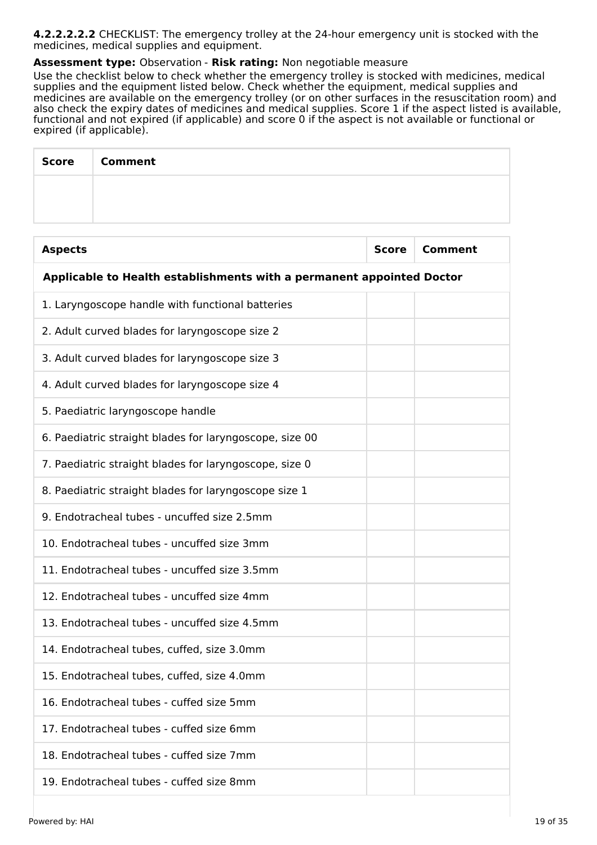#### **4.2.2.2.2.2** CHECKLIST: The emergency trolley at the 24-hour emergency unit is stocked with the medicines, medical supplies and equipment.

#### **Assessment type:** Observation - **Risk rating:** Non negotiable measure

Use the checklist below to check whether the emergency trolley is stocked with medicines, medical supplies and the equipment listed below. Check whether the equipment, medical supplies and medicines are available on the emergency trolley (or on other surfaces in the resuscitation room) and also check the expiry dates of medicines and medical supplies. Score 1 if the aspect listed is available, functional and not expired (if applicable) and score 0 if the aspect is not available or functional or expired (if applicable).

| <b>Score</b> | <b>Comment</b> |
|--------------|----------------|
|              |                |
|              |                |

| <b>Aspects</b>                                                        | <b>Score</b> | <b>Comment</b> |  |  |
|-----------------------------------------------------------------------|--------------|----------------|--|--|
| Applicable to Health establishments with a permanent appointed Doctor |              |                |  |  |
| 1. Laryngoscope handle with functional batteries                      |              |                |  |  |
| 2. Adult curved blades for laryngoscope size 2                        |              |                |  |  |
| 3. Adult curved blades for laryngoscope size 3                        |              |                |  |  |
| 4. Adult curved blades for laryngoscope size 4                        |              |                |  |  |
| 5. Paediatric laryngoscope handle                                     |              |                |  |  |
| 6. Paediatric straight blades for laryngoscope, size 00               |              |                |  |  |
| 7. Paediatric straight blades for laryngoscope, size 0                |              |                |  |  |
| 8. Paediatric straight blades for laryngoscope size 1                 |              |                |  |  |
| 9. Endotracheal tubes - uncuffed size 2.5mm                           |              |                |  |  |
| 10. Endotracheal tubes - uncuffed size 3mm                            |              |                |  |  |
| 11. Endotracheal tubes - uncuffed size 3.5mm                          |              |                |  |  |
| 12. Endotracheal tubes - uncuffed size 4mm                            |              |                |  |  |
| 13. Endotracheal tubes - uncuffed size 4.5mm                          |              |                |  |  |
| 14. Endotracheal tubes, cuffed, size 3.0mm                            |              |                |  |  |
| 15. Endotracheal tubes, cuffed, size 4.0mm                            |              |                |  |  |
| 16. Endotracheal tubes - cuffed size 5mm                              |              |                |  |  |
| 17. Endotracheal tubes - cuffed size 6mm                              |              |                |  |  |
| 18. Endotracheal tubes - cuffed size 7mm                              |              |                |  |  |
| 19. Endotracheal tubes - cuffed size 8mm                              |              |                |  |  |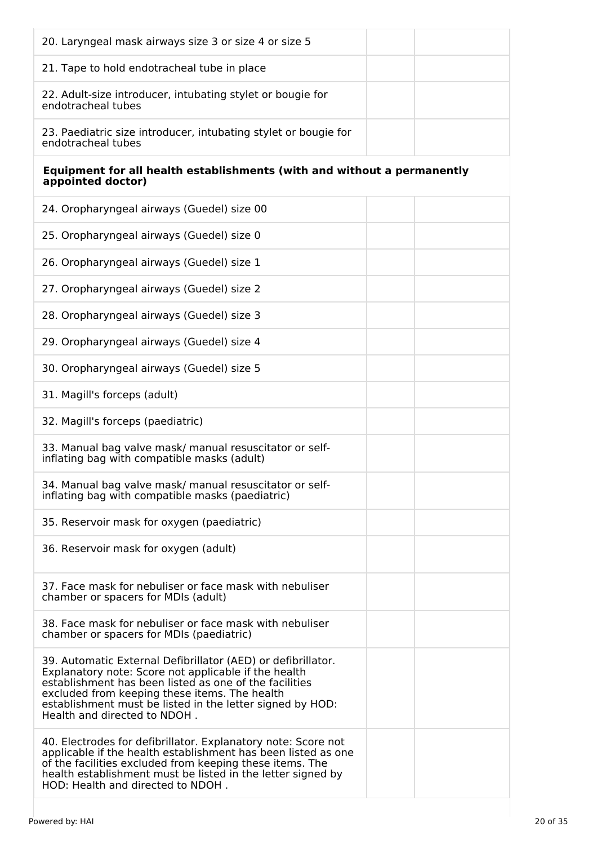| 20. Laryngeal mask airways size 3 or size 4 or size 5                                                                                                                                                                                                                                                                        |  |
|------------------------------------------------------------------------------------------------------------------------------------------------------------------------------------------------------------------------------------------------------------------------------------------------------------------------------|--|
| 21. Tape to hold endotracheal tube in place                                                                                                                                                                                                                                                                                  |  |
| 22. Adult-size introducer, intubating stylet or bougie for<br>endotracheal tubes                                                                                                                                                                                                                                             |  |
| 23. Paediatric size introducer, intubating stylet or bougie for<br>endotracheal tubes                                                                                                                                                                                                                                        |  |
| Equipment for all health establishments (with and without a permanently<br>appointed doctor)                                                                                                                                                                                                                                 |  |
| 24. Oropharyngeal airways (Guedel) size 00                                                                                                                                                                                                                                                                                   |  |
| 25. Oropharyngeal airways (Guedel) size 0                                                                                                                                                                                                                                                                                    |  |
| 26. Oropharyngeal airways (Guedel) size 1                                                                                                                                                                                                                                                                                    |  |
| 27. Oropharyngeal airways (Guedel) size 2                                                                                                                                                                                                                                                                                    |  |
| 28. Oropharyngeal airways (Guedel) size 3                                                                                                                                                                                                                                                                                    |  |
| 29. Oropharyngeal airways (Guedel) size 4                                                                                                                                                                                                                                                                                    |  |
| 30. Oropharyngeal airways (Guedel) size 5                                                                                                                                                                                                                                                                                    |  |
| 31. Magill's forceps (adult)                                                                                                                                                                                                                                                                                                 |  |
| 32. Magill's forceps (paediatric)                                                                                                                                                                                                                                                                                            |  |
| 33. Manual bag valve mask/ manual resuscitator or self-<br>inflating bag with compatible masks (adult)                                                                                                                                                                                                                       |  |
| 34. Manual bag valve mask/ manual resuscitator or self-<br>inflating bag with compatible masks (paediatric)                                                                                                                                                                                                                  |  |
| 35. Reservoir mask for oxygen (paediatric)                                                                                                                                                                                                                                                                                   |  |
| 36. Reservoir mask for oxygen (adult)                                                                                                                                                                                                                                                                                        |  |
| 37. Face mask for nebuliser or face mask with nebuliser<br>chamber or spacers for MDIs (adult)                                                                                                                                                                                                                               |  |
| 38. Face mask for nebuliser or face mask with nebuliser<br>chamber or spacers for MDIs (paediatric)                                                                                                                                                                                                                          |  |
| 39. Automatic External Defibrillator (AED) or defibrillator.<br>Explanatory note: Score not applicable if the health<br>establishment has been listed as one of the facilities<br>excluded from keeping these items. The health<br>establishment must be listed in the letter signed by HOD:<br>Health and directed to NDOH. |  |
| 40. Electrodes for defibrillator. Explanatory note: Score not<br>applicable if the health establishment has been listed as one<br>of the facilities excluded from keeping these items. The<br>health establishment must be listed in the letter signed by<br>HOD: Health and directed to NDOH.                               |  |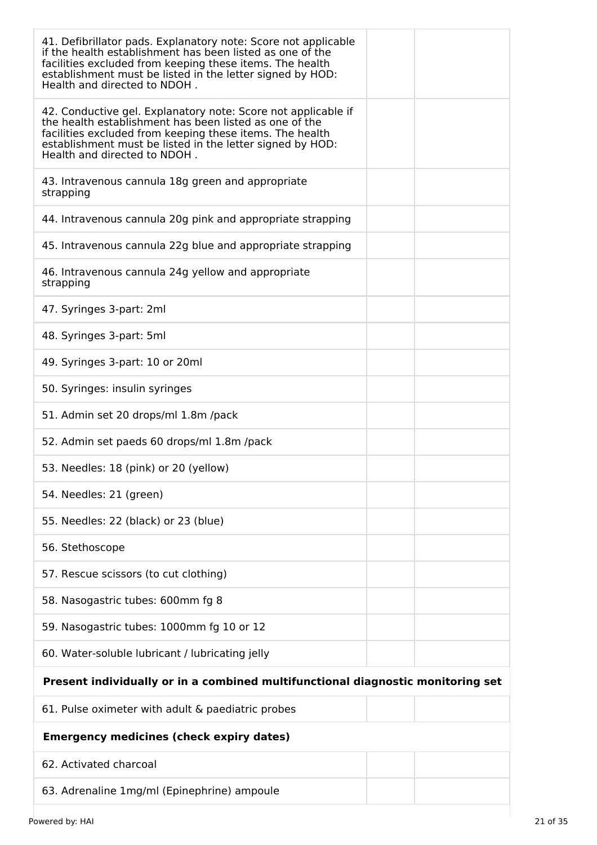| 41. Defibrillator pads. Explanatory note: Score not applicable<br>if the health establishment has been listed as one of the<br>facilities excluded from keeping these items. The health<br>establishment must be listed in the letter signed by HOD:<br>Health and directed to NDOH. |
|--------------------------------------------------------------------------------------------------------------------------------------------------------------------------------------------------------------------------------------------------------------------------------------|
| 42. Conductive gel. Explanatory note: Score not applicable if<br>the health establishment has been listed as one of the<br>facilities excluded from keeping these items. The health<br>establishment must be listed in the letter signed by HOD:<br>Health and directed to NDOH.     |
| 43. Intravenous cannula 18g green and appropriate<br>strapping                                                                                                                                                                                                                       |
| 44. Intravenous cannula 20g pink and appropriate strapping                                                                                                                                                                                                                           |
| 45. Intravenous cannula 22g blue and appropriate strapping                                                                                                                                                                                                                           |
| 46. Intravenous cannula 24g yellow and appropriate<br>strapping                                                                                                                                                                                                                      |
| 47. Syringes 3-part: 2ml                                                                                                                                                                                                                                                             |
| 48. Syringes 3-part: 5ml                                                                                                                                                                                                                                                             |
| 49. Syringes 3-part: 10 or 20ml                                                                                                                                                                                                                                                      |
| 50. Syringes: insulin syringes                                                                                                                                                                                                                                                       |
| 51. Admin set 20 drops/ml 1.8m /pack                                                                                                                                                                                                                                                 |
| 52. Admin set paeds 60 drops/ml 1.8m /pack                                                                                                                                                                                                                                           |
| 53. Needles: 18 (pink) or 20 (yellow)                                                                                                                                                                                                                                                |
| 54. Needles: 21 (green)                                                                                                                                                                                                                                                              |
| 55. Needles: 22 (black) or 23 (blue)                                                                                                                                                                                                                                                 |
| 56. Stethoscope                                                                                                                                                                                                                                                                      |
| 57. Rescue scissors (to cut clothing)                                                                                                                                                                                                                                                |
| 58. Nasogastric tubes: 600mm fg 8                                                                                                                                                                                                                                                    |
| 59. Nasogastric tubes: 1000mm fg 10 or 12                                                                                                                                                                                                                                            |
| 60. Water-soluble lubricant / lubricating jelly                                                                                                                                                                                                                                      |
| Present individually or in a combined multifunctional diagnostic monitoring set                                                                                                                                                                                                      |
| 61. Pulse oximeter with adult & paediatric probes                                                                                                                                                                                                                                    |
| <b>Emergency medicines (check expiry dates)</b>                                                                                                                                                                                                                                      |
| 62. Activated charcoal                                                                                                                                                                                                                                                               |
| 63. Adrenaline 1mg/ml (Epinephrine) ampoule                                                                                                                                                                                                                                          |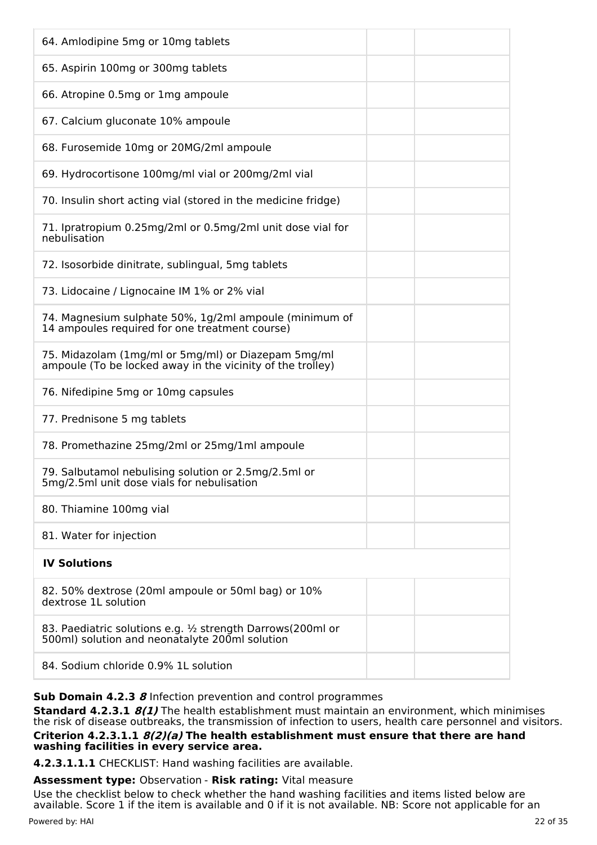| 64. Amlodipine 5mg or 10mg tablets<br>65. Aspirin 100mg or 300mg tablets<br>66. Atropine 0.5mg or 1mg ampoule<br>67. Calcium gluconate 10% ampoule<br>68. Furosemide 10mg or 20MG/2ml ampoule<br>69. Hydrocortisone 100mg/ml vial or 200mg/2ml vial<br>70. Insulin short acting vial (stored in the medicine fridge)<br>71. Ipratropium 0.25mg/2ml or 0.5mg/2ml unit dose vial for<br>nebulisation<br>72. Isosorbide dinitrate, sublingual, 5mg tablets<br>73. Lidocaine / Lignocaine IM 1% or 2% vial<br>74. Magnesium sulphate 50%, 1g/2ml ampoule (minimum of<br>14 ampoules required for one treatment course)<br>75. Midazolam (1mg/ml or 5mg/ml) or Diazepam 5mg/ml<br>ampoule (To be locked away in the vicinity of the trolley)<br>76. Nifedipine 5mg or 10mg capsules<br>77. Prednisone 5 mg tablets<br>78. Promethazine 25mg/2ml or 25mg/1ml ampoule<br>79. Salbutamol nebulising solution or 2.5mg/2.5ml or<br>5mg/2.5ml unit dose vials for nebulisation<br>80. Thiamine 100mg vial<br>81. Water for injection<br><b>IV Solutions</b><br>82. 50% dextrose (20ml ampoule or 50ml bag) or 10%<br>dextrose 1L solution<br>83. Paediatric solutions e.g. 1/2 strength Darrows (200ml or<br>500ml) solution and neonatalyte 200ml solution<br>84. Sodium chloride 0.9% 1L solution |  |
|-------------------------------------------------------------------------------------------------------------------------------------------------------------------------------------------------------------------------------------------------------------------------------------------------------------------------------------------------------------------------------------------------------------------------------------------------------------------------------------------------------------------------------------------------------------------------------------------------------------------------------------------------------------------------------------------------------------------------------------------------------------------------------------------------------------------------------------------------------------------------------------------------------------------------------------------------------------------------------------------------------------------------------------------------------------------------------------------------------------------------------------------------------------------------------------------------------------------------------------------------------------------------------------------|--|
|                                                                                                                                                                                                                                                                                                                                                                                                                                                                                                                                                                                                                                                                                                                                                                                                                                                                                                                                                                                                                                                                                                                                                                                                                                                                                           |  |
|                                                                                                                                                                                                                                                                                                                                                                                                                                                                                                                                                                                                                                                                                                                                                                                                                                                                                                                                                                                                                                                                                                                                                                                                                                                                                           |  |
|                                                                                                                                                                                                                                                                                                                                                                                                                                                                                                                                                                                                                                                                                                                                                                                                                                                                                                                                                                                                                                                                                                                                                                                                                                                                                           |  |
|                                                                                                                                                                                                                                                                                                                                                                                                                                                                                                                                                                                                                                                                                                                                                                                                                                                                                                                                                                                                                                                                                                                                                                                                                                                                                           |  |
|                                                                                                                                                                                                                                                                                                                                                                                                                                                                                                                                                                                                                                                                                                                                                                                                                                                                                                                                                                                                                                                                                                                                                                                                                                                                                           |  |
|                                                                                                                                                                                                                                                                                                                                                                                                                                                                                                                                                                                                                                                                                                                                                                                                                                                                                                                                                                                                                                                                                                                                                                                                                                                                                           |  |
|                                                                                                                                                                                                                                                                                                                                                                                                                                                                                                                                                                                                                                                                                                                                                                                                                                                                                                                                                                                                                                                                                                                                                                                                                                                                                           |  |
|                                                                                                                                                                                                                                                                                                                                                                                                                                                                                                                                                                                                                                                                                                                                                                                                                                                                                                                                                                                                                                                                                                                                                                                                                                                                                           |  |
|                                                                                                                                                                                                                                                                                                                                                                                                                                                                                                                                                                                                                                                                                                                                                                                                                                                                                                                                                                                                                                                                                                                                                                                                                                                                                           |  |
|                                                                                                                                                                                                                                                                                                                                                                                                                                                                                                                                                                                                                                                                                                                                                                                                                                                                                                                                                                                                                                                                                                                                                                                                                                                                                           |  |
|                                                                                                                                                                                                                                                                                                                                                                                                                                                                                                                                                                                                                                                                                                                                                                                                                                                                                                                                                                                                                                                                                                                                                                                                                                                                                           |  |
|                                                                                                                                                                                                                                                                                                                                                                                                                                                                                                                                                                                                                                                                                                                                                                                                                                                                                                                                                                                                                                                                                                                                                                                                                                                                                           |  |
|                                                                                                                                                                                                                                                                                                                                                                                                                                                                                                                                                                                                                                                                                                                                                                                                                                                                                                                                                                                                                                                                                                                                                                                                                                                                                           |  |
|                                                                                                                                                                                                                                                                                                                                                                                                                                                                                                                                                                                                                                                                                                                                                                                                                                                                                                                                                                                                                                                                                                                                                                                                                                                                                           |  |
|                                                                                                                                                                                                                                                                                                                                                                                                                                                                                                                                                                                                                                                                                                                                                                                                                                                                                                                                                                                                                                                                                                                                                                                                                                                                                           |  |
|                                                                                                                                                                                                                                                                                                                                                                                                                                                                                                                                                                                                                                                                                                                                                                                                                                                                                                                                                                                                                                                                                                                                                                                                                                                                                           |  |
|                                                                                                                                                                                                                                                                                                                                                                                                                                                                                                                                                                                                                                                                                                                                                                                                                                                                                                                                                                                                                                                                                                                                                                                                                                                                                           |  |
|                                                                                                                                                                                                                                                                                                                                                                                                                                                                                                                                                                                                                                                                                                                                                                                                                                                                                                                                                                                                                                                                                                                                                                                                                                                                                           |  |
|                                                                                                                                                                                                                                                                                                                                                                                                                                                                                                                                                                                                                                                                                                                                                                                                                                                                                                                                                                                                                                                                                                                                                                                                                                                                                           |  |
|                                                                                                                                                                                                                                                                                                                                                                                                                                                                                                                                                                                                                                                                                                                                                                                                                                                                                                                                                                                                                                                                                                                                                                                                                                                                                           |  |
|                                                                                                                                                                                                                                                                                                                                                                                                                                                                                                                                                                                                                                                                                                                                                                                                                                                                                                                                                                                                                                                                                                                                                                                                                                                                                           |  |
|                                                                                                                                                                                                                                                                                                                                                                                                                                                                                                                                                                                                                                                                                                                                                                                                                                                                                                                                                                                                                                                                                                                                                                                                                                                                                           |  |

# **Sub Domain 4.2.3 8** Infection prevention and control programmes

**Standard 4.2.3.1 8(1)** The health establishment must maintain an environment, which minimises the risk of disease outbreaks, the transmission of infection to users, health care personnel and visitors.

#### **Criterion 4.2.3.1.1 8(2)(a) The health establishment must ensure that there are hand washing facilities in every service area.**

**4.2.3.1.1.1** CHECKLIST: Hand washing facilities are available.

#### **Assessment type:** Observation - **Risk rating:** Vital measure

Use the checklist below to check whether the hand washing facilities and items listed below are available. Score 1 if the item is available and 0 if it is not available. NB: Score not applicable for an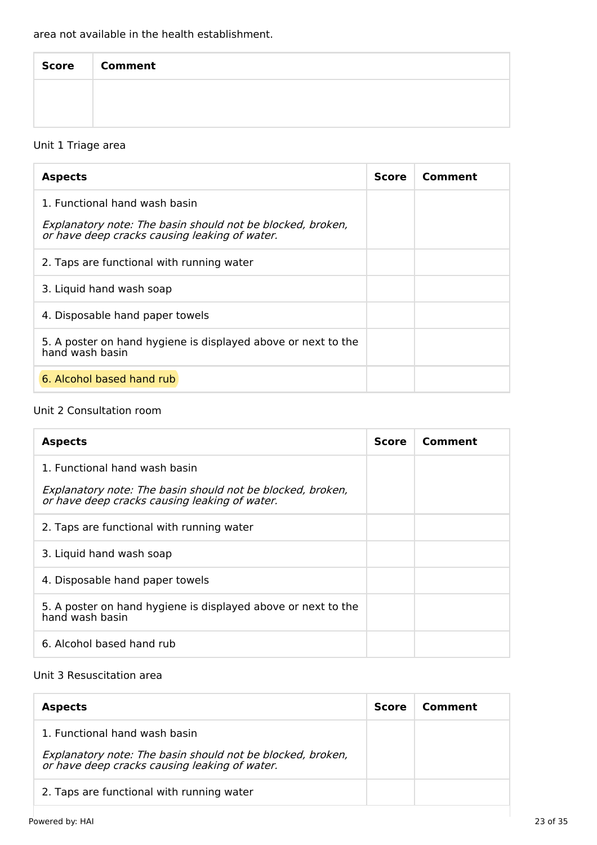| <b>Score</b> | <b>Comment</b> |
|--------------|----------------|
|              |                |
|              |                |

# Unit 1 Triage area

| <b>Aspects</b>                                                                                              | <b>Score</b> | Comment |
|-------------------------------------------------------------------------------------------------------------|--------------|---------|
| 1. Functional hand wash basin                                                                               |              |         |
| Explanatory note: The basin should not be blocked, broken,<br>or have deep cracks causing leaking of water. |              |         |
| 2. Taps are functional with running water                                                                   |              |         |
| 3. Liquid hand wash soap                                                                                    |              |         |
| 4. Disposable hand paper towels                                                                             |              |         |
| 5. A poster on hand hygiene is displayed above or next to the<br>hand wash basin                            |              |         |
| 6. Alcohol based hand rub                                                                                   |              |         |

# Unit 2 Consultation room

| <b>Aspects</b>                                                                                              | <b>Score</b> | Comment |
|-------------------------------------------------------------------------------------------------------------|--------------|---------|
| 1. Functional hand wash basin                                                                               |              |         |
| Explanatory note: The basin should not be blocked, broken,<br>or have deep cracks causing leaking of water. |              |         |
| 2. Taps are functional with running water                                                                   |              |         |
| 3. Liquid hand wash soap                                                                                    |              |         |
| 4. Disposable hand paper towels                                                                             |              |         |
| 5. A poster on hand hygiene is displayed above or next to the<br>hand wash basin                            |              |         |
| 6. Alcohol based hand rub                                                                                   |              |         |

# Unit 3 Resuscitation area

| <b>Aspects</b>                                                                                              | <b>Score</b> | Comment |
|-------------------------------------------------------------------------------------------------------------|--------------|---------|
| 1. Functional hand wash basin                                                                               |              |         |
| Explanatory note: The basin should not be blocked, broken,<br>or have deep cracks causing leaking of water. |              |         |
| 2. Taps are functional with running water                                                                   |              |         |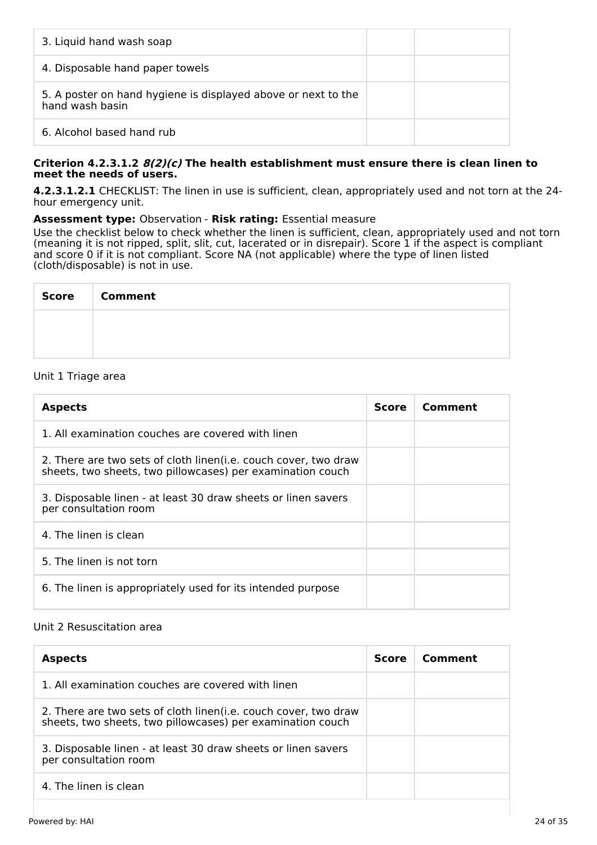| 3. Liquid hand wash soap                                                         |  |
|----------------------------------------------------------------------------------|--|
| 4. Disposable hand paper towels                                                  |  |
| 5. A poster on hand hygiene is displayed above or next to the<br>hand wash basin |  |
| 6. Alcohol based hand rub                                                        |  |

#### **Criterion 4.2.3.1.2 8(2)(c) The health establishment must ensure there is clean linen to meet the needs of users.**

**4.2.3.1.2.1** CHECKLIST: The linen in use is sufficient, clean, appropriately used and not torn at the 24 hour emergency unit.

#### **Assessment type:** Observation - **Risk rating:** Essential measure

Use the checklist below to check whether the linen is sufficient, clean, appropriately used and not torn (meaning it is not ripped, split, slit, cut, lacerated or in disrepair). Score 1 if the aspect is compliant and score 0 if it is not compliant. Score NA (not applicable) where the type of linen listed (cloth/disposable) is not in use.

| Score   Comment |
|-----------------|
|                 |
|                 |

#### Unit 1 Triage area

| <b>Aspects</b>                                                                                                                | <b>Score</b> | Comment |
|-------------------------------------------------------------------------------------------------------------------------------|--------------|---------|
| 1. All examination couches are covered with linen                                                                             |              |         |
| 2. There are two sets of cloth linen(i.e. couch cover, two draw<br>sheets, two sheets, two pillowcases) per examination couch |              |         |
| 3. Disposable linen - at least 30 draw sheets or linen savers<br>per consultation room                                        |              |         |
| 4. The linen is clean                                                                                                         |              |         |
| 5. The linen is not torn                                                                                                      |              |         |
| 6. The linen is appropriately used for its intended purpose                                                                   |              |         |

#### Unit 2 Resuscitation area

| <b>Aspects</b>                                                                                                                | <b>Score</b> | Comment |
|-------------------------------------------------------------------------------------------------------------------------------|--------------|---------|
| 1. All examination couches are covered with linen                                                                             |              |         |
| 2. There are two sets of cloth linen(i.e. couch cover, two draw<br>sheets, two sheets, two pillowcases) per examination couch |              |         |
| 3. Disposable linen - at least 30 draw sheets or linen savers<br>per consultation room                                        |              |         |
| 4. The linen is clean                                                                                                         |              |         |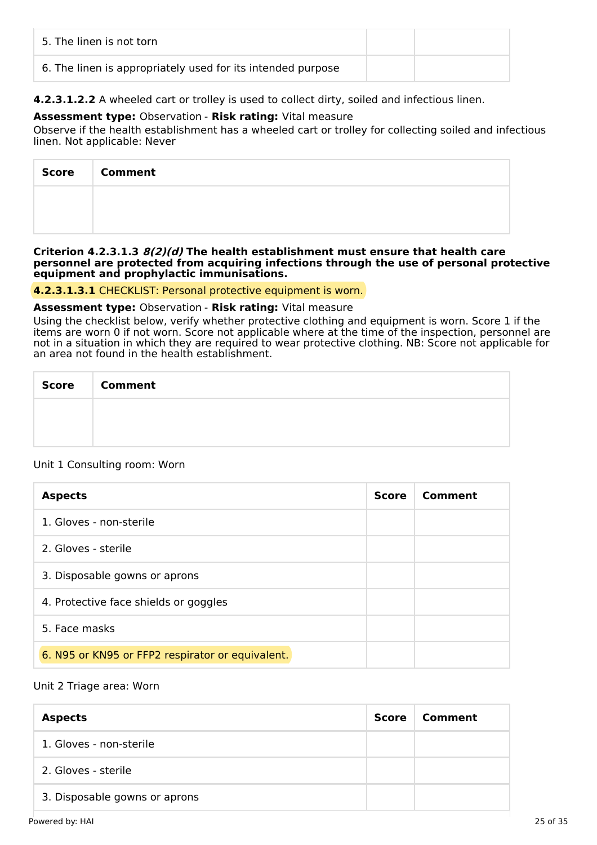| 5. The linen is not torn                                    |  |
|-------------------------------------------------------------|--|
| 6. The linen is appropriately used for its intended purpose |  |

**4.2.3.1.2.2** A wheeled cart or trolley is used to collect dirty, soiled and infectious linen.

# **Assessment type:** Observation - **Risk rating:** Vital measure

Observe if the health establishment has a wheeled cart or trolley for collecting soiled and infectious linen. Not applicable: Never

| Score Comment |
|---------------|
|               |
|               |

#### **Criterion 4.2.3.1.3 8(2)(d) The health establishment must ensure that health care personnel are protected from acquiring infections through the use of personal protective equipment and prophylactic immunisations.**

### **4.2.3.1.3.1** CHECKLIST: Personal protective equipment is worn.

#### **Assessment type:** Observation - **Risk rating:** Vital measure

Using the checklist below, verify whether protective clothing and equipment is worn. Score 1 if the items are worn 0 if not worn. Score not applicable where at the time of the inspection, personnel are not in a situation in which they are required to wear protective clothing. NB: Score not applicable for an area not found in the health establishment.

| Score   Comment |
|-----------------|
|                 |
|                 |

#### Unit 1 Consulting room: Worn

| <b>Aspects</b>                                   | <b>Score</b> | Comment |
|--------------------------------------------------|--------------|---------|
| 1. Gloves - non-sterile                          |              |         |
| 2. Gloves - sterile                              |              |         |
| 3. Disposable gowns or aprons                    |              |         |
| 4. Protective face shields or goggles            |              |         |
| 5. Face masks                                    |              |         |
| 6. N95 or KN95 or FFP2 respirator or equivalent. |              |         |

# Unit 2 Triage area: Worn

| <b>Aspects</b>                | Score | Comment |
|-------------------------------|-------|---------|
| 1. Gloves - non-sterile       |       |         |
| 2. Gloves - sterile           |       |         |
| 3. Disposable gowns or aprons |       |         |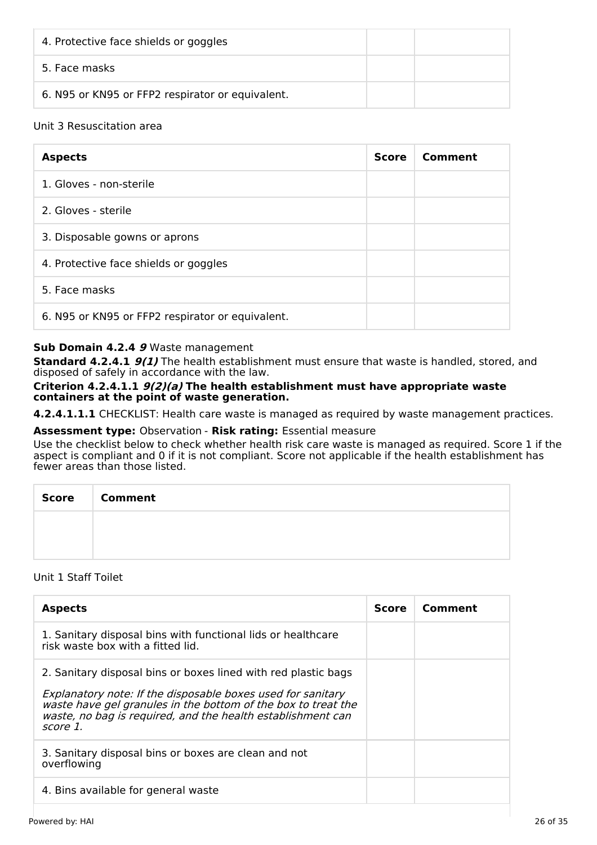| 4. Protective face shields or goggles            |  |
|--------------------------------------------------|--|
| 5. Face masks                                    |  |
| 6. N95 or KN95 or FFP2 respirator or equivalent. |  |

# Unit 3 Resuscitation area

| <b>Aspects</b>                                   | <b>Score</b> | Comment |
|--------------------------------------------------|--------------|---------|
| 1. Gloves - non-sterile                          |              |         |
| 2. Gloves - sterile                              |              |         |
| 3. Disposable gowns or aprons                    |              |         |
| 4. Protective face shields or goggles            |              |         |
| 5. Face masks                                    |              |         |
| 6. N95 or KN95 or FFP2 respirator or equivalent. |              |         |

# **Sub Domain 4.2.4 9** Waste management

**Standard 4.2.4.1 9(1)** The health establishment must ensure that waste is handled, stored, and disposed of safely in accordance with the law.

#### **Criterion 4.2.4.1.1 9(2)(a) The health establishment must have appropriate waste containers at the point of waste generation.**

**4.2.4.1.1.1** CHECKLIST: Health care waste is managed as required by waste management practices.

# **Assessment type:** Observation - **Risk rating:** Essential measure

Use the checklist below to check whether health risk care waste is managed as required. Score 1 if the aspect is compliant and 0 if it is not compliant. Score not applicable if the health establishment has fewer areas than those listed.

| Score   Comment |
|-----------------|
|                 |
|                 |

# Unit 1 Staff Toilet

| <b>Aspects</b>                                                                                                                                                                                          | <b>Score</b> | Comment |
|---------------------------------------------------------------------------------------------------------------------------------------------------------------------------------------------------------|--------------|---------|
| 1. Sanitary disposal bins with functional lids or healthcare<br>risk waste box with a fitted lid.                                                                                                       |              |         |
| 2. Sanitary disposal bins or boxes lined with red plastic bags                                                                                                                                          |              |         |
| Explanatory note: If the disposable boxes used for sanitary<br>waste have gel granules in the bottom of the box to treat the<br>waste, no bag is required, and the health establishment can<br>score 1. |              |         |
| 3. Sanitary disposal bins or boxes are clean and not<br>overflowing                                                                                                                                     |              |         |
| 4. Bins available for general waste                                                                                                                                                                     |              |         |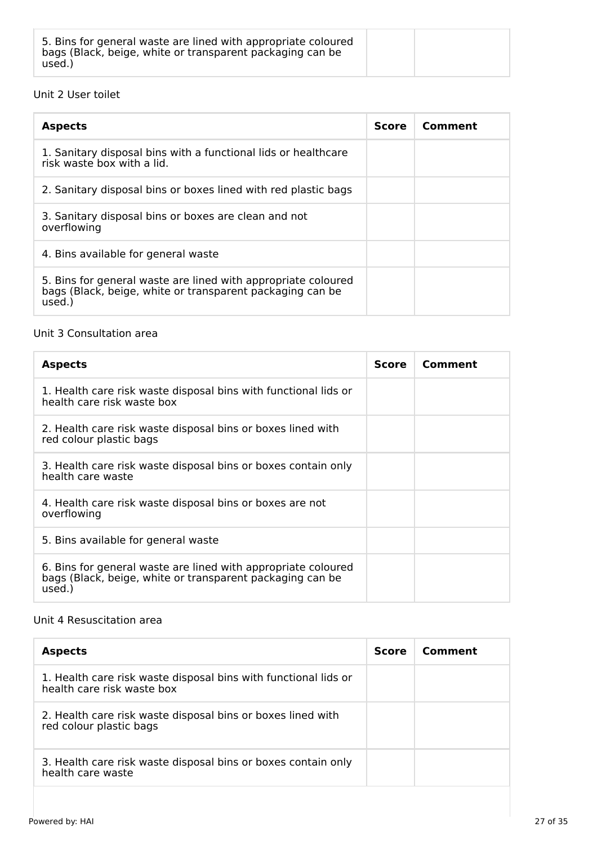# Unit 2 User toilet

| <b>Aspects</b>                                                                                                                       | <b>Score</b> | Comment |
|--------------------------------------------------------------------------------------------------------------------------------------|--------------|---------|
| 1. Sanitary disposal bins with a functional lids or healthcare<br>risk waste box with a lid.                                         |              |         |
| 2. Sanitary disposal bins or boxes lined with red plastic bags                                                                       |              |         |
| 3. Sanitary disposal bins or boxes are clean and not<br>overflowing                                                                  |              |         |
| 4. Bins available for general waste                                                                                                  |              |         |
| 5. Bins for general waste are lined with appropriate coloured<br>bags (Black, beige, white or transparent packaging can be<br>used.) |              |         |

# Unit 3 Consultation area

| <b>Aspects</b>                                                                                                                       | <b>Score</b> | Comment |
|--------------------------------------------------------------------------------------------------------------------------------------|--------------|---------|
| 1. Health care risk waste disposal bins with functional lids or<br>health care risk waste box                                        |              |         |
| 2. Health care risk waste disposal bins or boxes lined with<br>red colour plastic bags                                               |              |         |
| 3. Health care risk waste disposal bins or boxes contain only<br>health care waste                                                   |              |         |
| 4. Health care risk waste disposal bins or boxes are not<br>overflowing                                                              |              |         |
| 5. Bins available for general waste                                                                                                  |              |         |
| 6. Bins for general waste are lined with appropriate coloured<br>bags (Black, beige, white or transparent packaging can be<br>used.) |              |         |

# Unit 4 Resuscitation area

| <b>Aspects</b>                                                                                | <b>Score</b> | Comment |
|-----------------------------------------------------------------------------------------------|--------------|---------|
| 1. Health care risk waste disposal bins with functional lids or<br>health care risk waste box |              |         |
| 2. Health care risk waste disposal bins or boxes lined with<br>red colour plastic bags        |              |         |
| 3. Health care risk waste disposal bins or boxes contain only<br>health care waste            |              |         |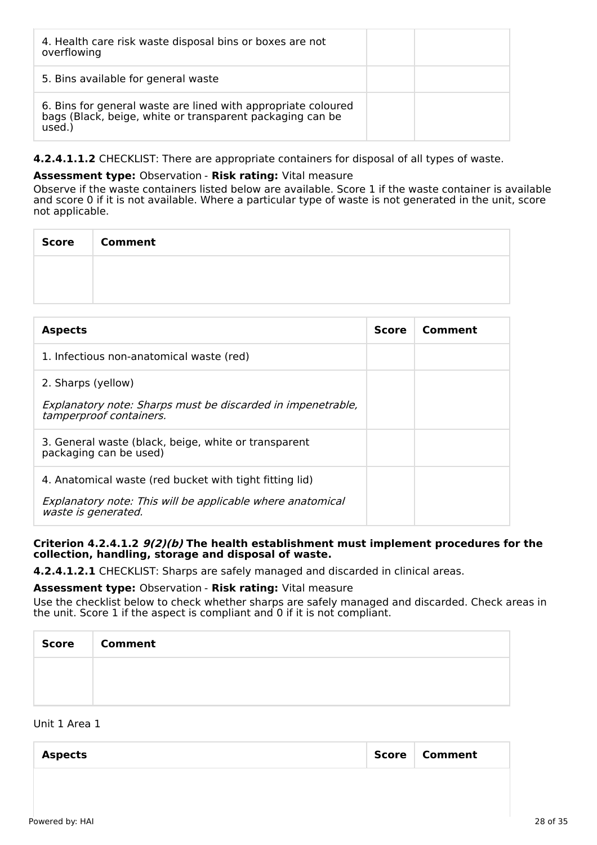| 4. Health care risk waste disposal bins or boxes are not<br>overflowing                                                              |  |
|--------------------------------------------------------------------------------------------------------------------------------------|--|
| 5. Bins available for general waste                                                                                                  |  |
| 6. Bins for general waste are lined with appropriate coloured<br>bags (Black, beige, white or transparent packaging can be<br>used.) |  |

**4.2.4.1.1.2** CHECKLIST: There are appropriate containers for disposal of all types of waste.

# **Assessment type:** Observation - **Risk rating:** Vital measure

Observe if the waste containers listed below are available. Score 1 if the waste container is available and score 0 if it is not available. Where a particular type of waste is not generated in the unit, score not applicable.

| Score Comment |
|---------------|
|               |
|               |

| <b>Aspects</b>                                                                         | <b>Score</b> | Comment |
|----------------------------------------------------------------------------------------|--------------|---------|
| 1. Infectious non-anatomical waste (red)                                               |              |         |
| 2. Sharps (yellow)                                                                     |              |         |
| Explanatory note: Sharps must be discarded in impenetrable,<br>tamperproof containers. |              |         |
| 3. General waste (black, beige, white or transparent<br>packaging can be used)         |              |         |
| 4. Anatomical waste (red bucket with tight fitting lid)                                |              |         |
| Explanatory note: This will be applicable where anatomical<br>waste is generated.      |              |         |

**Criterion 4.2.4.1.2 9(2)(b) The health establishment must implement procedures for the collection, handling, storage and disposal of waste.**

**4.2.4.1.2.1** CHECKLIST: Sharps are safely managed and discarded in clinical areas.

**Assessment type:** Observation - **Risk rating:** Vital measure

Use the checklist below to check whether sharps are safely managed and discarded. Check areas in the unit. Score 1 if the aspect is compliant and 0 if it is not compliant.

| Score | <b>Comment</b> |
|-------|----------------|
|       |                |
|       |                |

Unit 1 Area 1

| Score   Comment<br><b>Aspects</b> |  |
|-----------------------------------|--|
|-----------------------------------|--|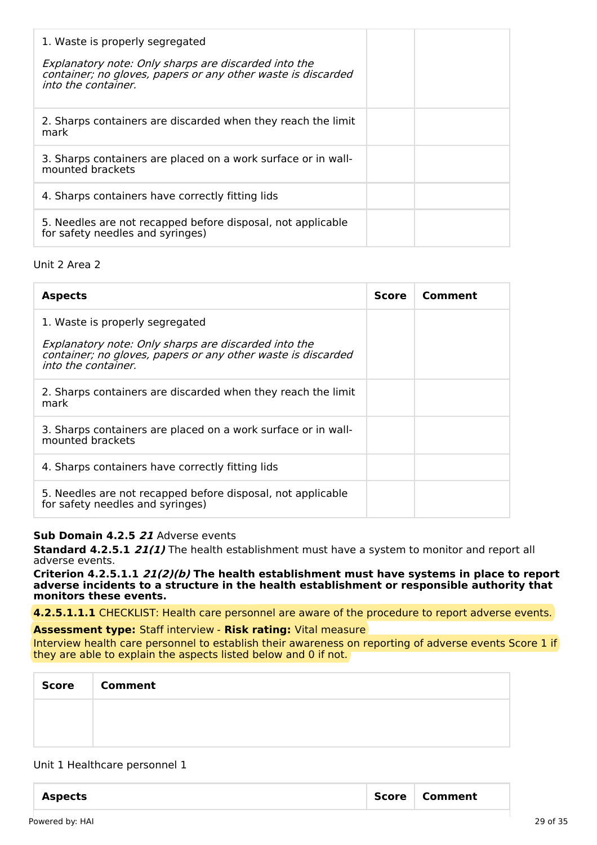| 1. Waste is properly segregated<br>Explanatory note: Only sharps are discarded into the<br>container; no gloves, papers or any other waste is discarded<br>into the container. |
|--------------------------------------------------------------------------------------------------------------------------------------------------------------------------------|
| 2. Sharps containers are discarded when they reach the limit<br>mark                                                                                                           |
| 3. Sharps containers are placed on a work surface or in wall-<br>mounted brackets                                                                                              |
| 4. Sharps containers have correctly fitting lids                                                                                                                               |
| 5. Needles are not recapped before disposal, not applicable<br>for safety needles and syringes)                                                                                |

### Unit 2 Area 2

| <b>Aspects</b>                                                                                                                              | <b>Score</b> | Comment |
|---------------------------------------------------------------------------------------------------------------------------------------------|--------------|---------|
| 1. Waste is properly segregated                                                                                                             |              |         |
| Explanatory note: Only sharps are discarded into the<br>container; no gloves, papers or any other waste is discarded<br>into the container. |              |         |
| 2. Sharps containers are discarded when they reach the limit<br>mark                                                                        |              |         |
| 3. Sharps containers are placed on a work surface or in wall-<br>mounted brackets                                                           |              |         |
| 4. Sharps containers have correctly fitting lids                                                                                            |              |         |
| 5. Needles are not recapped before disposal, not applicable<br>for safety needles and syringes)                                             |              |         |

#### **Sub Domain 4.2.5 21** Adverse events

**Standard 4.2.5.1 21(1)** The health establishment must have a system to monitor and report all adverse events.

**Criterion 4.2.5.1.1 21(2)(b) The health establishment must have systems in place to report adverse incidents to a structure in the health establishment or responsible authority that monitors these events.**

**4.2.5.1.1.1** CHECKLIST: Health care personnel are aware of the procedure to report adverse events.

#### **Assessment type:** Staff interview - **Risk rating:** Vital measure

Interview health care personnel to establish their awareness on reporting of adverse events Score 1 if they are able to explain the aspects listed below and 0 if not.

| <b>Score</b> | <b>Comment</b> |
|--------------|----------------|
|              |                |
|              |                |

# Unit 1 Healthcare personnel 1

| <b>Aspects</b> |  | Score   Comment |  |
|----------------|--|-----------------|--|
|----------------|--|-----------------|--|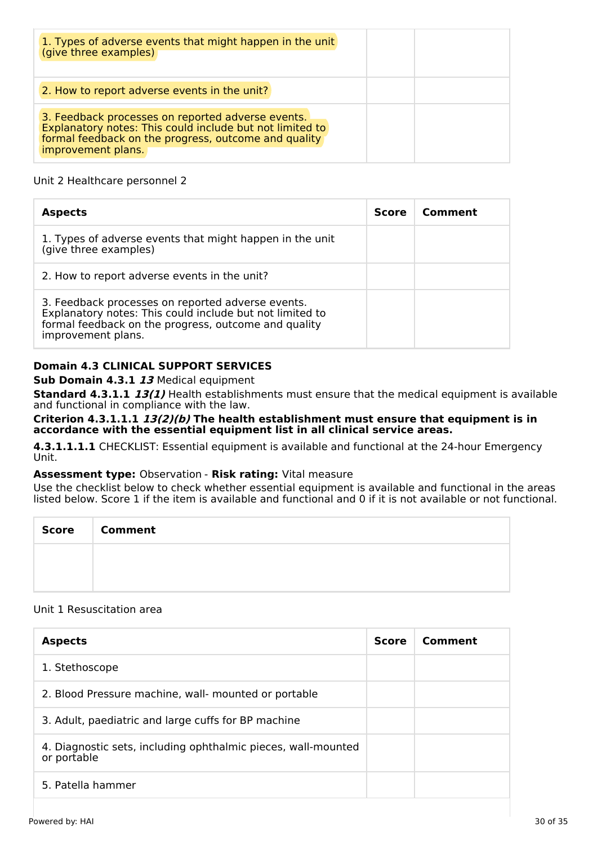| 1. Types of adverse events that might happen in the unit<br>(give three examples)                                                                                                           |  |
|---------------------------------------------------------------------------------------------------------------------------------------------------------------------------------------------|--|
| 2. How to report adverse events in the unit?                                                                                                                                                |  |
| 3. Feedback processes on reported adverse events.<br>Explanatory notes: This could include but not limited to<br>formal feedback on the progress, outcome and quality<br>improvement plans. |  |

#### Unit 2 Healthcare personnel 2

| <b>Aspects</b>                                                                                                                                                                              | <b>Score</b> | Comment |
|---------------------------------------------------------------------------------------------------------------------------------------------------------------------------------------------|--------------|---------|
| 1. Types of adverse events that might happen in the unit<br>(give three examples)                                                                                                           |              |         |
| 2. How to report adverse events in the unit?                                                                                                                                                |              |         |
| 3. Feedback processes on reported adverse events.<br>Explanatory notes: This could include but not limited to<br>formal feedback on the progress, outcome and quality<br>improvement plans. |              |         |

# **Domain 4.3 CLINICAL SUPPORT SERVICES**

**Sub Domain 4.3.1 13** Medical equipment

**Standard 4.3.1.1 13(1)** Health establishments must ensure that the medical equipment is available and functional in compliance with the law.

**Criterion 4.3.1.1.1 13(2)(b) The health establishment must ensure that equipment is in accordance with the essential equipment list in all clinical service areas.**

**4.3.1.1.1.1** CHECKLIST: Essential equipment is available and functional at the 24-hour Emergency Unit.

#### **Assessment type:** Observation - **Risk rating:** Vital measure

Use the checklist below to check whether essential equipment is available and functional in the areas listed below. Score 1 if the item is available and functional and 0 if it is not available or not functional.

| Score Comment |
|---------------|
|               |
|               |

# Unit 1 Resuscitation area

| <b>Aspects</b>                                                               | <b>Score</b> | Comment |
|------------------------------------------------------------------------------|--------------|---------|
| 1. Stethoscope                                                               |              |         |
| 2. Blood Pressure machine, wall- mounted or portable                         |              |         |
| 3. Adult, paediatric and large cuffs for BP machine                          |              |         |
| 4. Diagnostic sets, including ophthalmic pieces, wall-mounted<br>or portable |              |         |
| 5. Patella hammer                                                            |              |         |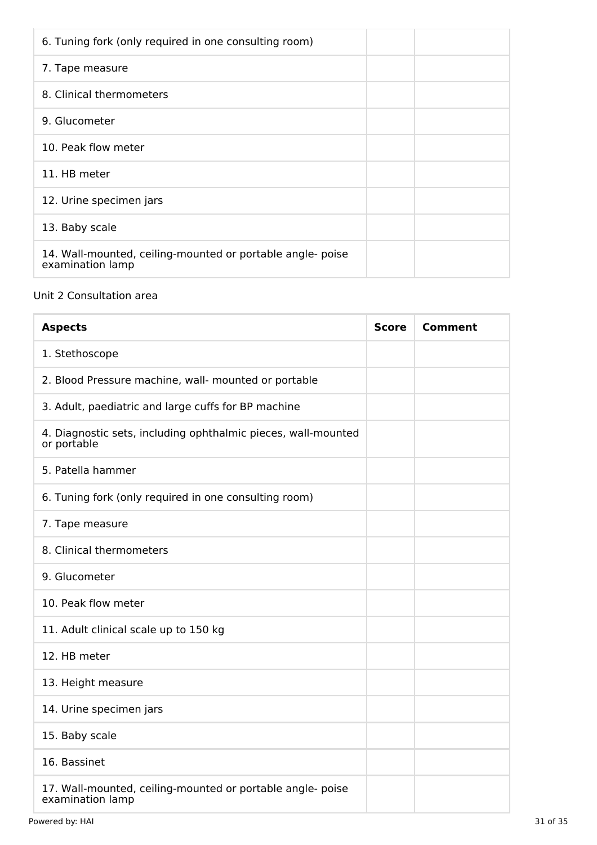| 6. Tuning fork (only required in one consulting room)                         |
|-------------------------------------------------------------------------------|
| 7. Tape measure                                                               |
| 8. Clinical thermometers                                                      |
| 9. Glucometer                                                                 |
| 10. Peak flow meter                                                           |
| 11. HB meter                                                                  |
| 12. Urine specimen jars                                                       |
| 13. Baby scale                                                                |
| 14. Wall-mounted, ceiling-mounted or portable angle-poise<br>examination lamp |

# Unit 2 Consultation area

| <b>Aspects</b>                                                                 | <b>Score</b> | <b>Comment</b> |
|--------------------------------------------------------------------------------|--------------|----------------|
| 1. Stethoscope                                                                 |              |                |
| 2. Blood Pressure machine, wall- mounted or portable                           |              |                |
| 3. Adult, paediatric and large cuffs for BP machine                            |              |                |
| 4. Diagnostic sets, including ophthalmic pieces, wall-mounted<br>or portable   |              |                |
| 5. Patella hammer                                                              |              |                |
| 6. Tuning fork (only required in one consulting room)                          |              |                |
| 7. Tape measure                                                                |              |                |
| 8. Clinical thermometers                                                       |              |                |
| 9. Glucometer                                                                  |              |                |
| 10. Peak flow meter                                                            |              |                |
| 11. Adult clinical scale up to 150 kg                                          |              |                |
| 12. HB meter                                                                   |              |                |
| 13. Height measure                                                             |              |                |
| 14. Urine specimen jars                                                        |              |                |
| 15. Baby scale                                                                 |              |                |
| 16. Bassinet                                                                   |              |                |
| 17. Wall-mounted, ceiling-mounted or portable angle- poise<br>examination lamp |              |                |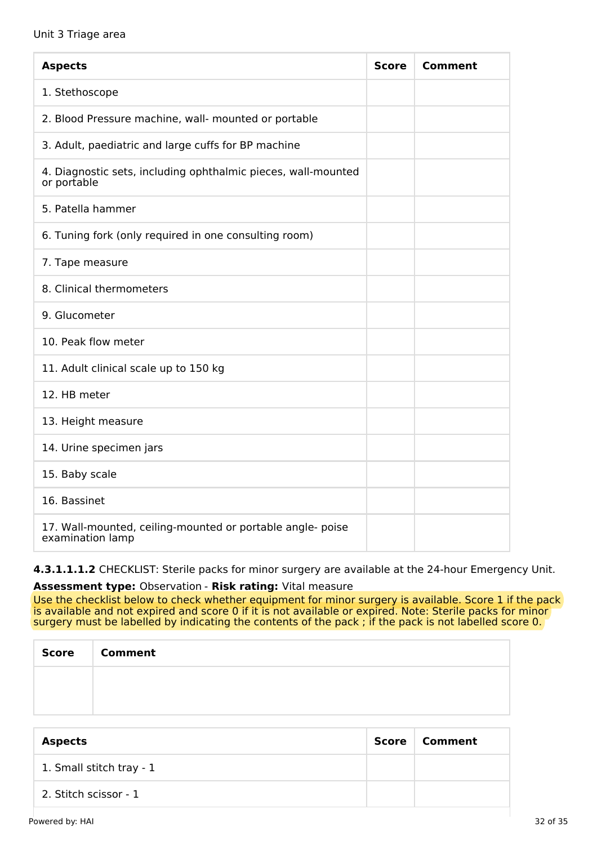#### Unit 3 Triage area

| <b>Aspects</b>                                                                 | <b>Score</b> | <b>Comment</b> |
|--------------------------------------------------------------------------------|--------------|----------------|
| 1. Stethoscope                                                                 |              |                |
| 2. Blood Pressure machine, wall- mounted or portable                           |              |                |
| 3. Adult, paediatric and large cuffs for BP machine                            |              |                |
| 4. Diagnostic sets, including ophthalmic pieces, wall-mounted<br>or portable   |              |                |
| 5. Patella hammer                                                              |              |                |
| 6. Tuning fork (only required in one consulting room)                          |              |                |
| 7. Tape measure                                                                |              |                |
| 8. Clinical thermometers                                                       |              |                |
| 9. Glucometer                                                                  |              |                |
| 10. Peak flow meter                                                            |              |                |
| 11. Adult clinical scale up to 150 kg                                          |              |                |
| 12. HB meter                                                                   |              |                |
| 13. Height measure                                                             |              |                |
| 14. Urine specimen jars                                                        |              |                |
| 15. Baby scale                                                                 |              |                |
| 16. Bassinet                                                                   |              |                |
| 17. Wall-mounted, ceiling-mounted or portable angle- poise<br>examination lamp |              |                |

**4.3.1.1.1.2** CHECKLIST: Sterile packs for minor surgery are available at the 24-hour Emergency Unit.

**Assessment type:** Observation - **Risk rating:** Vital measure

Use the checklist below to check whether equipment for minor surgery is available. Score 1 if the pack is available and not expired and score 0 if it is not available or expired. Note: Sterile packs for minor surgery must be labelled by indicating the contents of the pack ; if the pack is not labelled score 0.

| <b>Score</b> | <b>Comment</b> |
|--------------|----------------|
|              |                |
|              |                |

| <b>Aspects</b>           | Score | <b>Comment</b> |
|--------------------------|-------|----------------|
| 1. Small stitch tray - 1 |       |                |
| 2. Stitch scissor - 1    |       |                |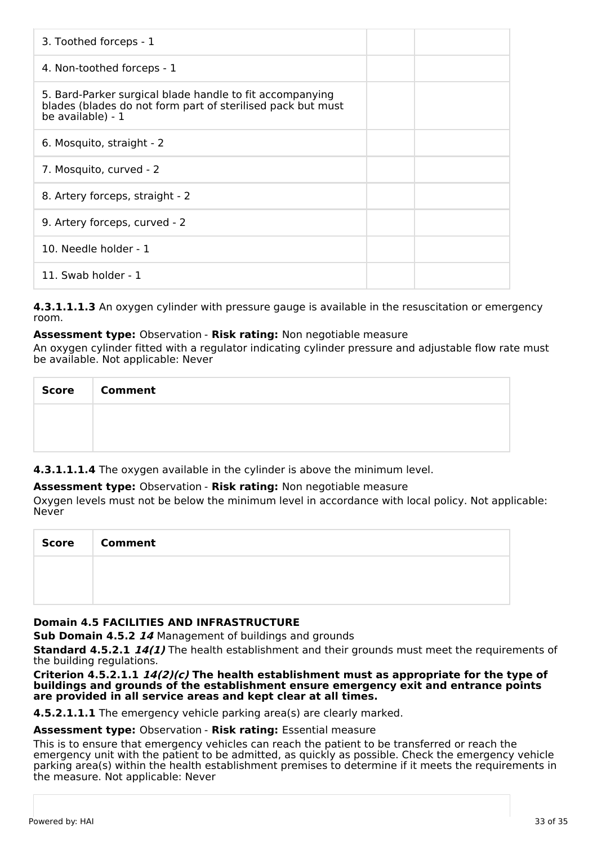| 3. Toothed forceps - 1                                                                                                                       |  |
|----------------------------------------------------------------------------------------------------------------------------------------------|--|
| 4. Non-toothed forceps - 1                                                                                                                   |  |
| 5. Bard-Parker surgical blade handle to fit accompanying<br>blades (blades do not form part of sterilised pack but must<br>be available) - 1 |  |
| 6. Mosquito, straight - 2                                                                                                                    |  |
| 7. Mosquito, curved - 2                                                                                                                      |  |
| 8. Artery forceps, straight - 2                                                                                                              |  |
| 9. Artery forceps, curved - 2                                                                                                                |  |
| 10. Needle holder - 1                                                                                                                        |  |
| 11. Swab holder - 1                                                                                                                          |  |

**4.3.1.1.1.3** An oxygen cylinder with pressure gauge is available in the resuscitation or emergency room.

# **Assessment type:** Observation - **Risk rating:** Non negotiable measure

An oxygen cylinder fitted with a regulator indicating cylinder pressure and adjustable flow rate must be available. Not applicable: Never

| Score   Comment |
|-----------------|
|                 |
|                 |

**4.3.1.1.1.4** The oxygen available in the cylinder is above the minimum level.

#### **Assessment type:** Observation - **Risk rating:** Non negotiable measure

Oxygen levels must not be below the minimum level in accordance with local policy. Not applicable: **Never** 

| <b>Score</b> | <b>Comment</b> |
|--------------|----------------|
|              |                |
|              |                |

# **Domain 4.5 FACILITIES AND INFRASTRUCTURE**

**Sub Domain 4.5.2 14** Management of buildings and grounds

**Standard 4.5.2.1 14(1)** The health establishment and their grounds must meet the requirements of the building regulations.

**Criterion 4.5.2.1.1 14(2)(c) The health establishment must as appropriate for the type of buildings and grounds of the establishment ensure emergency exit and entrance points are provided in all service areas and kept clear at all times.**

**4.5.2.1.1.1** The emergency vehicle parking area(s) are clearly marked.

# **Assessment type:** Observation - **Risk rating:** Essential measure

This is to ensure that emergency vehicles can reach the patient to be transferred or reach the emergency unit with the patient to be admitted, as quickly as possible. Check the emergency vehicle parking area(s) within the health establishment premises to determine if it meets the requirements in the measure. Not applicable: Never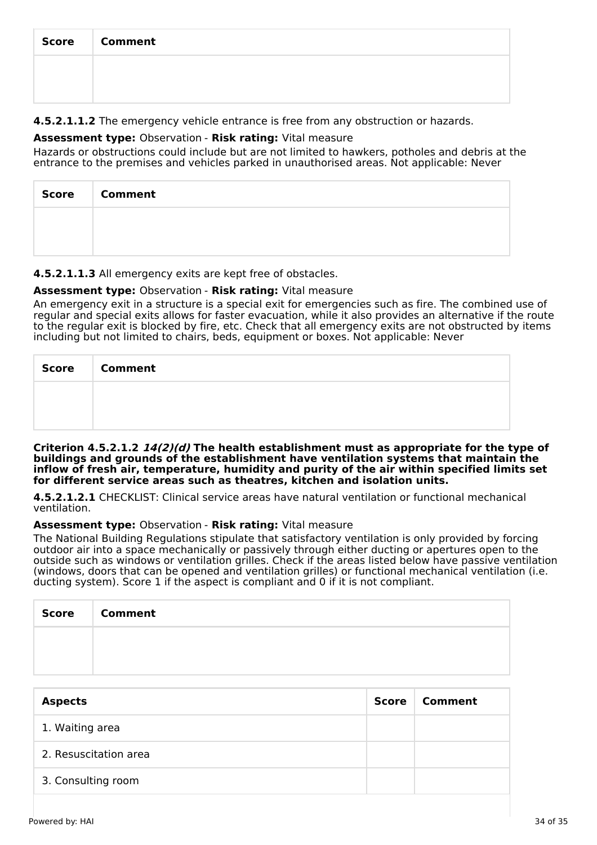| <b>Score</b> | <b>Comment</b> |
|--------------|----------------|
|              |                |
|              |                |

**4.5.2.1.1.2** The emergency vehicle entrance is free from any obstruction or hazards.

# **Assessment type:** Observation - **Risk rating:** Vital measure

Hazards or obstructions could include but are not limited to hawkers, potholes and debris at the entrance to the premises and vehicles parked in unauthorised areas. Not applicable: Never

| Score Comment |
|---------------|
|               |
|               |

# **4.5.2.1.1.3** All emergency exits are kept free of obstacles.

#### **Assessment type:** Observation - **Risk rating:** Vital measure

An emergency exit in a structure is a special exit for emergencies such as fire. The combined use of regular and special exits allows for faster evacuation, while it also provides an alternative if the route to the regular exit is blocked by fire, etc. Check that all emergency exits are not obstructed by items including but not limited to chairs, beds, equipment or boxes. Not applicable: Never

| Score | <b>Comment</b> |
|-------|----------------|
|       |                |
|       |                |

**Criterion 4.5.2.1.2 14(2)(d) The health establishment must as appropriate for the type of buildings and grounds of the establishment have ventilation systems that maintain the inflow of fresh air, temperature, humidity and purity of the air within specified limits set for different service areas such as theatres, kitchen and isolation units.**

**4.5.2.1.2.1** CHECKLIST: Clinical service areas have natural ventilation or functional mechanical ventilation.

#### **Assessment type:** Observation - **Risk rating:** Vital measure

The National Building Regulations stipulate that satisfactory ventilation is only provided by forcing outdoor air into a space mechanically or passively through either ducting or apertures open to the outside such as windows or ventilation grilles. Check if the areas listed below have passive ventilation (windows, doors that can be opened and ventilation grilles) or functional mechanical ventilation (i.e. ducting system). Score 1 if the aspect is compliant and 0 if it is not compliant.

| Score   Comment |
|-----------------|
|                 |
|                 |

| <b>Aspects</b>        | <b>Score</b> | Comment |
|-----------------------|--------------|---------|
| 1. Waiting area       |              |         |
| 2. Resuscitation area |              |         |
| 3. Consulting room    |              |         |